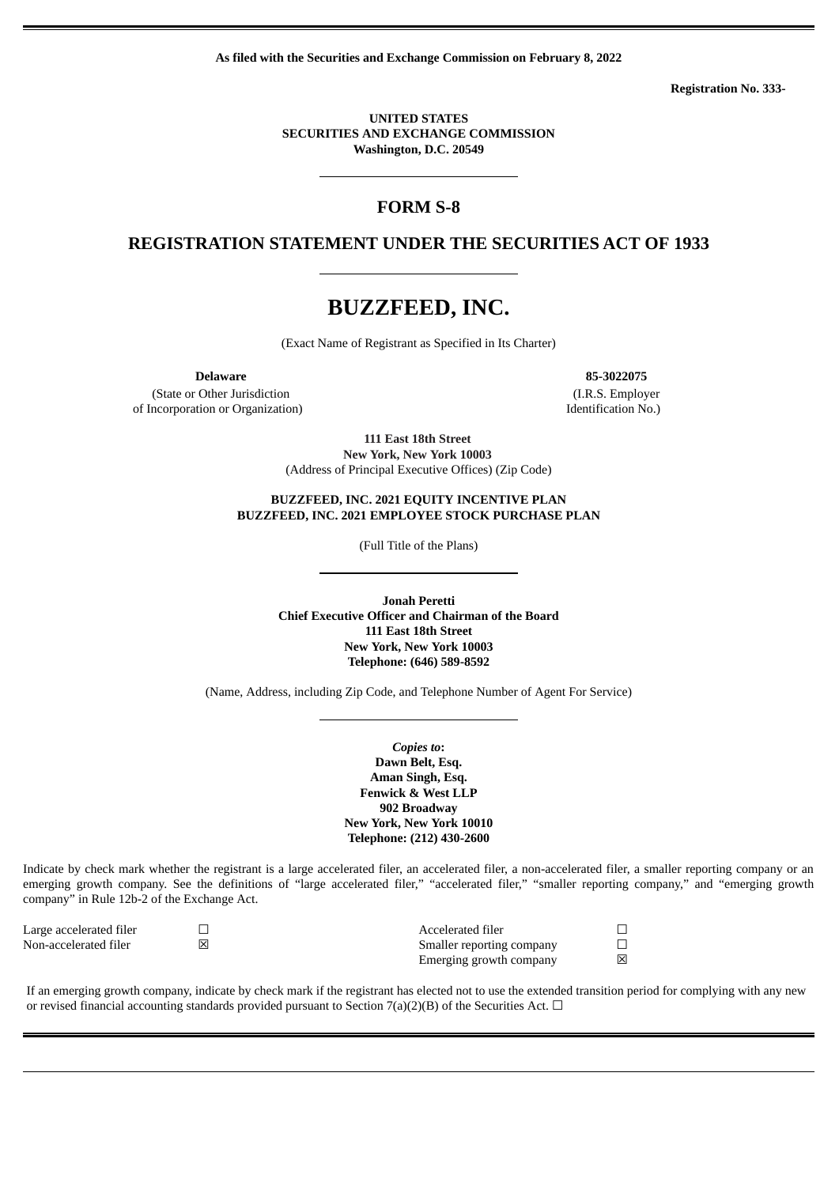**As filed with the Securities and Exchange Commission on February 8, 2022**

**Registration No. 333-**

#### **UNITED STATES SECURITIES AND EXCHANGE COMMISSION Washington, D.C. 20549**

# **FORM S-8**

# **REGISTRATION STATEMENT UNDER THE SECURITIES ACT OF 1933**

# **BUZZFEED, INC.**

(Exact Name of Registrant as Specified in Its Charter)

(State or Other Jurisdiction of Incorporation or Organization)

**Delaware 85-3022075** (I.R.S. Employer Identification No.)

> **111 East 18th Street New York, New York 10003** (Address of Principal Executive Offices) (Zip Code)

#### **BUZZFEED, INC. 2021 EQUITY INCENTIVE PLAN BUZZFEED, INC. 2021 EMPLOYEE STOCK PURCHASE PLAN**

(Full Title of the Plans)

**Jonah Peretti Chief Executive Officer and Chairman of the Board 111 East 18th Street New York, New York 10003 Telephone: (646) 589-8592**

(Name, Address, including Zip Code, and Telephone Number of Agent For Service)

*Copies to***: Dawn Belt, Esq. Aman Singh, Esq. Fenwick & West LLP 902 Broadway New York, New York 10010 Telephone: (212) 430-2600**

Indicate by check mark whether the registrant is a large accelerated filer, an accelerated filer, a non-accelerated filer, a smaller reporting company or an emerging growth company. See the definitions of "large accelerated filer," "accelerated filer," "smaller reporting company," and "emerging growth company" in Rule 12b-2 of the Exchange Act.

| Large accelerated filer | Accelerated filer         |   |
|-------------------------|---------------------------|---|
| Non-accelerated filer   | Smaller reporting company |   |
|                         | Emerging growth company   | 冈 |

If an emerging growth company, indicate by check mark if the registrant has elected not to use the extended transition period for complying with any new or revised financial accounting standards provided pursuant to Section 7(a)(2)(B) of the Securities Act.  $\Box$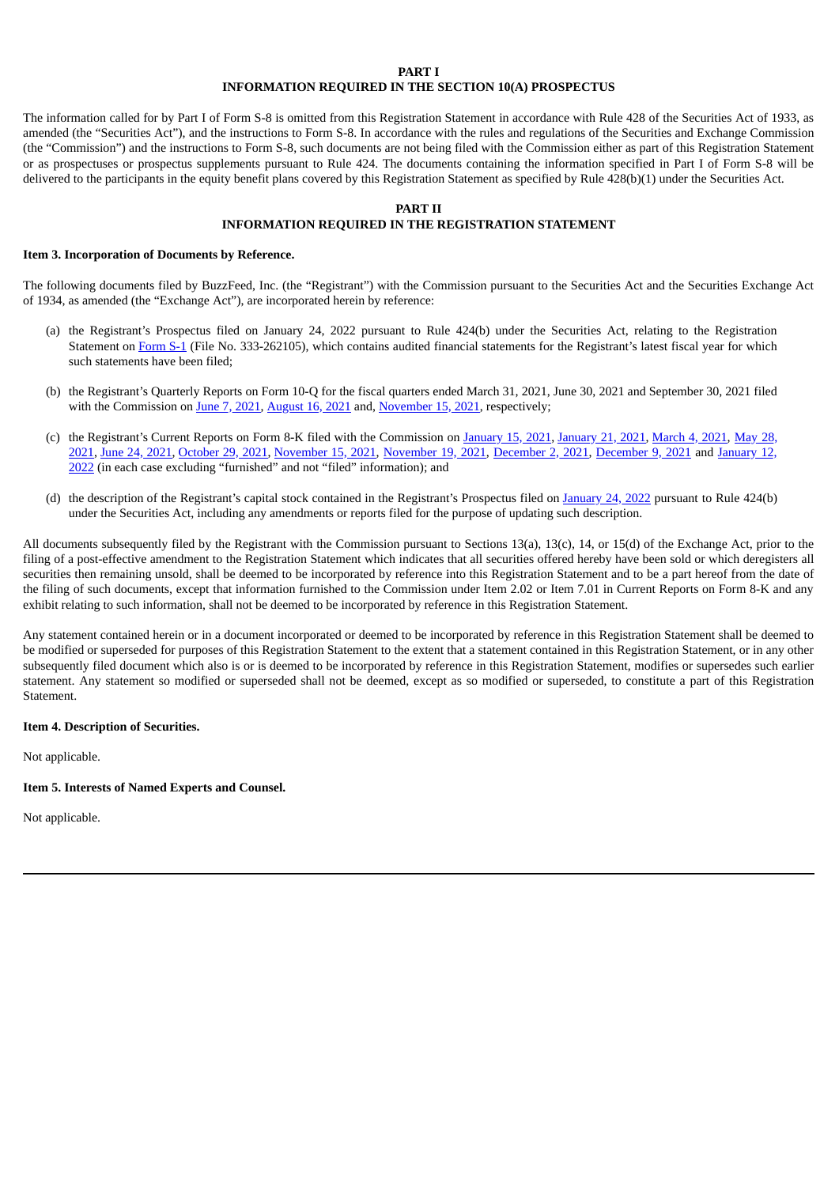### **PART I**

### **INFORMATION REQUIRED IN THE SECTION 10(A) PROSPECTUS**

The information called for by Part I of Form S-8 is omitted from this Registration Statement in accordance with Rule 428 of the Securities Act of 1933, as amended (the "Securities Act"), and the instructions to Form S-8. In accordance with the rules and regulations of the Securities and Exchange Commission (the "Commission") and the instructions to Form S-8, such documents are not being filed with the Commission either as part of this Registration Statement or as prospectuses or prospectus supplements pursuant to Rule 424. The documents containing the information specified in Part I of Form S-8 will be delivered to the participants in the equity benefit plans covered by this Registration Statement as specified by Rule 428(b)(1) under the Securities Act.

#### **PART II**

### **INFORMATION REQUIRED IN THE REGISTRATION STATEMENT**

#### **Item 3. Incorporation of Documents by Reference.**

The following documents filed by BuzzFeed, Inc. (the "Registrant") with the Commission pursuant to the Securities Act and the Securities Exchange Act of 1934, as amended (the "Exchange Act"), are incorporated herein by reference:

- (a) the Registrant's Prospectus filed on January 24, 2022 pursuant to Rule 424(b) under the Securities Act, relating to the Registration Statement on [Form](http://www.sec.gov/ix?doc=/Archives/edgar/data/1828972/000110465922003154/bzfd-20220111xs1.htm) S-1 (File No. 333-262105), which contains audited financial statements for the Registrant's latest fiscal year for which such statements have been filed;
- (b) the Registrant's Quarterly Reports on Form 10-Q for the fiscal quarters ended March 31, 2021, June 30, 2021 and September 30, 2021 filed with the Commission on June 7, [2021,](http://www.sec.gov/ix?doc=/Archives/edgar/data/1828972/000110465921077636/enfa-20210331x10q.htm) [August](http://www.sec.gov/ix?doc=/Archives/edgar/data/1828972/000110465921105793/enfa-20210630x10q.htm) 16, 2021 and, [November](http://www.sec.gov/ix?doc=/Archives/edgar/data/1828972/000141057821000303/enfa-20210930x10q.htm) 15, 2021, respectively;
- (c) the Registrant's Current Reports on Form 8-K filed with the [Commission](http://www.sec.gov/Archives/edgar/data/1828972/000110465921074328/tm2117906d1_8k.htm) on [January](http://www.sec.gov/Archives/edgar/data/1828972/000110465921006349/tm213655d1_8k.htm) 15, 2021, January 21, 2021, [March](http://www.sec.gov/Archives/edgar/data/1828972/000110465921032171/tm218565d1_8k.htm) 4, 2021, May 28, 2021, June 24, [2021](http://www.sec.gov/Archives/edgar/data/1828972/000110465921085218/tm2120621d1_8k.htm), [October](https://www.sec.gov/ix?doc=/Archives/edgar/data/1828972/000110465921131822/tm2131331d1_8k.htm) 29, 2021, [November](http://www.sec.gov/ix?doc=/Archives/edgar/data/0001828972/000110465921139370/tm2132908d1_8k.htm) 15, 2021, [November](http://www.sec.gov/ix?doc=/Archives/edgar/data/1828972/000110465921141994/tm2133386d1_8k.htm) 19, 2021, [December](http://www.sec.gov/ix?doc=/Archives/edgar/data/1828972/000110465921145975/tm2134420d1_8k.htm) 2, 2021, [December](http://www.sec.gov/ix?doc=/Archives/edgar/data/1828972/000110465921148188/tm2134844d1_8k.htm) 9, 2021 and January 12, 2022 (in each case excluding "furnished" and not "filed" [information\);](http://www.sec.gov/ix?doc=/Archives/edgar/data/1828972/000110465922003339/tm222680d1_8k.htm) and
- (d) the description of the Registrant's capital stock contained in the Registrant's Prospectus filed on [January](https://www.sec.gov/Archives/edgar/data/1828972/000110465922006915/tm2134581-3_424b3.htm) 24, 2022 pursuant to Rule 424(b) under the Securities Act, including any amendments or reports filed for the purpose of updating such description.

All documents subsequently filed by the Registrant with the Commission pursuant to Sections 13(a), 13(c), 14, or 15(d) of the Exchange Act, prior to the filing of a post-effective amendment to the Registration Statement which indicates that all securities offered hereby have been sold or which deregisters all securities then remaining unsold, shall be deemed to be incorporated by reference into this Registration Statement and to be a part hereof from the date of the filing of such documents, except that information furnished to the Commission under Item 2.02 or Item 7.01 in Current Reports on Form 8-K and any exhibit relating to such information, shall not be deemed to be incorporated by reference in this Registration Statement.

Any statement contained herein or in a document incorporated or deemed to be incorporated by reference in this Registration Statement shall be deemed to be modified or superseded for purposes of this Registration Statement to the extent that a statement contained in this Registration Statement, or in any other subsequently filed document which also is or is deemed to be incorporated by reference in this Registration Statement, modifies or supersedes such earlier statement. Any statement so modified or superseded shall not be deemed, except as so modified or superseded, to constitute a part of this Registration **Statement** 

#### **Item 4. Description of Securities.**

Not applicable.

#### **Item 5. Interests of Named Experts and Counsel.**

Not applicable.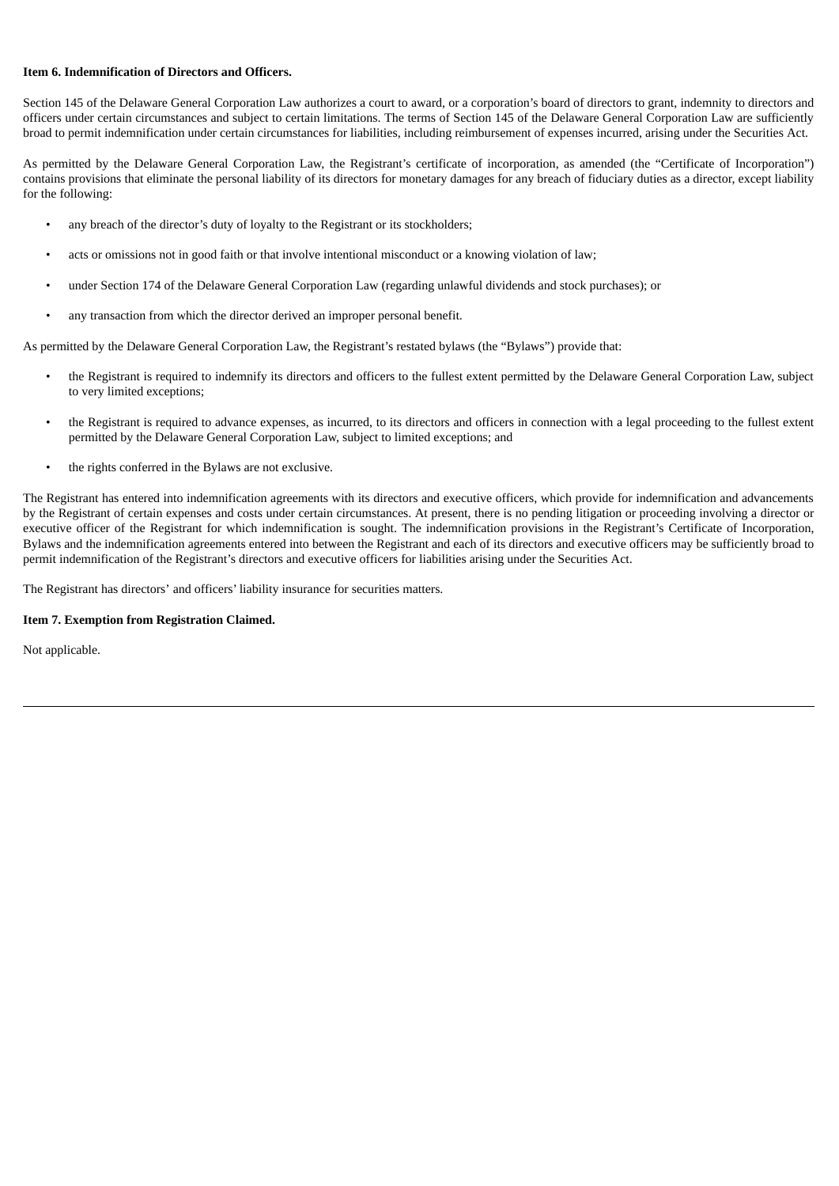### **Item 6. Indemnification of Directors and Officers.**

Section 145 of the Delaware General Corporation Law authorizes a court to award, or a corporation's board of directors to grant, indemnity to directors and officers under certain circumstances and subject to certain limitations. The terms of Section 145 of the Delaware General Corporation Law are sufficiently broad to permit indemnification under certain circumstances for liabilities, including reimbursement of expenses incurred, arising under the Securities Act.

As permitted by the Delaware General Corporation Law, the Registrant's certificate of incorporation, as amended (the "Certificate of Incorporation") contains provisions that eliminate the personal liability of its directors for monetary damages for any breach of fiduciary duties as a director, except liability for the following:

- any breach of the director's duty of loyalty to the Registrant or its stockholders;
- acts or omissions not in good faith or that involve intentional misconduct or a knowing violation of law;
- under Section 174 of the Delaware General Corporation Law (regarding unlawful dividends and stock purchases); or
- any transaction from which the director derived an improper personal benefit.

As permitted by the Delaware General Corporation Law, the Registrant's restated bylaws (the "Bylaws") provide that:

- the Registrant is required to indemnify its directors and officers to the fullest extent permitted by the Delaware General Corporation Law, subject to very limited exceptions;
- the Registrant is required to advance expenses, as incurred, to its directors and officers in connection with a legal proceeding to the fullest extent permitted by the Delaware General Corporation Law, subject to limited exceptions; and
- the rights conferred in the Bylaws are not exclusive.

The Registrant has entered into indemnification agreements with its directors and executive officers, which provide for indemnification and advancements by the Registrant of certain expenses and costs under certain circumstances. At present, there is no pending litigation or proceeding involving a director or executive officer of the Registrant for which indemnification is sought. The indemnification provisions in the Registrant's Certificate of Incorporation, Bylaws and the indemnification agreements entered into between the Registrant and each of its directors and executive officers may be sufficiently broad to permit indemnification of the Registrant's directors and executive officers for liabilities arising under the Securities Act.

The Registrant has directors' and officers' liability insurance for securities matters.

### **Item 7. Exemption from Registration Claimed.**

Not applicable.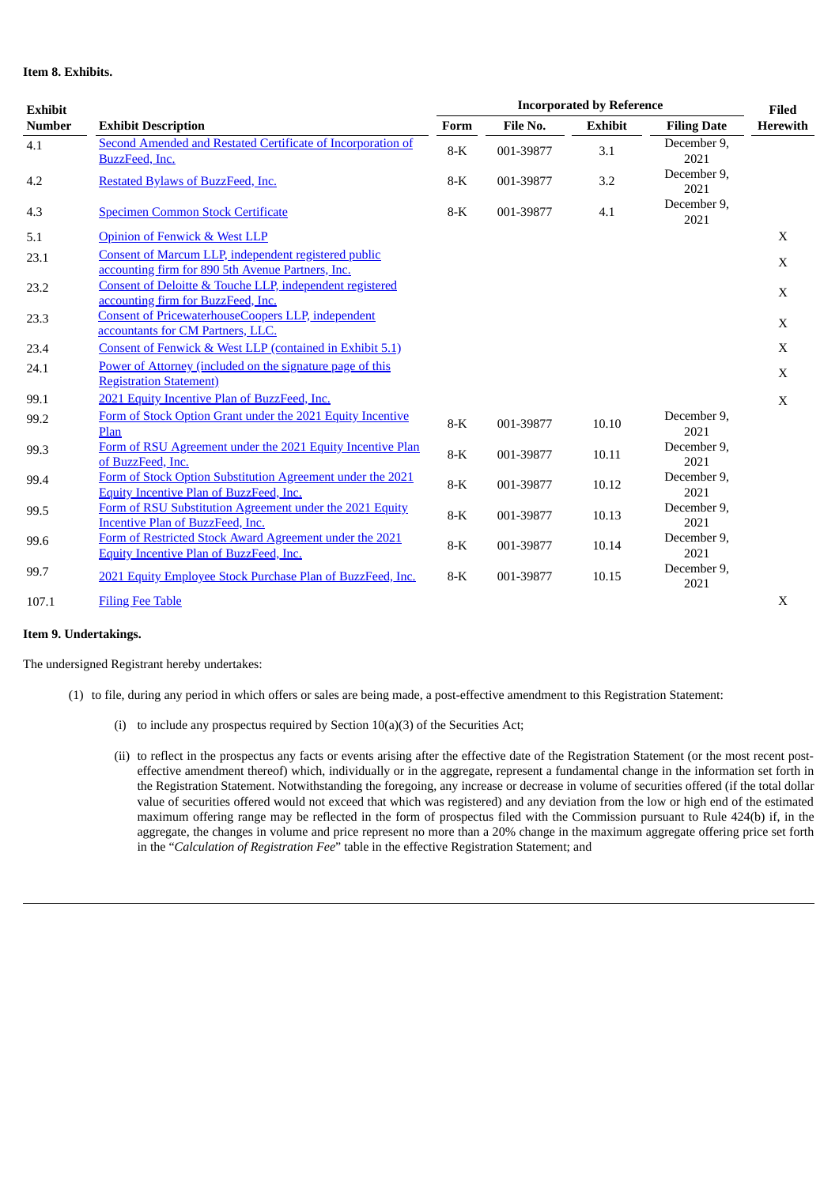### **Item 8. Exhibits.**

| <b>Exhibit</b> | <b>Exhibit Description</b>                                                                                   |       | <b>Incorporated by Reference</b> |                |                     |                                 |  |
|----------------|--------------------------------------------------------------------------------------------------------------|-------|----------------------------------|----------------|---------------------|---------------------------------|--|
| <b>Number</b>  |                                                                                                              |       | File No.                         | <b>Exhibit</b> | <b>Filing Date</b>  | <b>Filed</b><br><b>Herewith</b> |  |
| 4.1            | <b>Second Amended and Restated Certificate of Incorporation of</b><br>BuzzFeed, Inc.                         | $8-K$ | 001-39877                        | 3.1            | December 9,<br>2021 |                                 |  |
| 4.2            | Restated Bylaws of BuzzFeed, Inc.                                                                            | $8-K$ | 001-39877                        | 3.2            | December 9,<br>2021 |                                 |  |
| 4.3            | <b>Specimen Common Stock Certificate</b>                                                                     | $8-K$ | 001-39877                        | 4.1            | December 9,<br>2021 |                                 |  |
| 5.1            | <b>Opinion of Fenwick &amp; West LLP</b>                                                                     |       |                                  |                |                     | X                               |  |
| 23.1           | Consent of Marcum LLP, independent registered public<br>accounting firm for 890 5th Avenue Partners, Inc.    |       |                                  |                |                     | X                               |  |
| 23.2           | Consent of Deloitte & Touche LLP, independent registered<br>accounting firm for BuzzFeed, Inc.               |       |                                  |                |                     | X                               |  |
| 23.3           | <b>Consent of PricewaterhouseCoopers LLP, independent</b><br>accountants for CM Partners, LLC.               |       |                                  |                |                     | $\mathbf{X}$                    |  |
| 23.4           | Consent of Fenwick & West LLP (contained in Exhibit 5.1)                                                     |       |                                  |                |                     | $\mathbf X$                     |  |
| 24.1           | Power of Attorney (included on the signature page of this<br><b>Registration Statement</b> )                 |       |                                  |                |                     | $\mathbf X$                     |  |
| 99.1           | 2021 Equity Incentive Plan of BuzzFeed, Inc.                                                                 |       |                                  |                |                     | X                               |  |
| 99.2           | Form of Stock Option Grant under the 2021 Equity Incentive<br>Plan                                           | $8-K$ | 001-39877                        | 10.10          | December 9,<br>2021 |                                 |  |
| 99.3           | Form of RSU Agreement under the 2021 Equity Incentive Plan<br>of BuzzFeed, Inc.                              | $8-K$ | 001-39877                        | 10.11          | December 9,<br>2021 |                                 |  |
| 99.4           | Form of Stock Option Substitution Agreement under the 2021<br><b>Equity Incentive Plan of BuzzFeed, Inc.</b> | $8-K$ | 001-39877                        | 10.12          | December 9,<br>2021 |                                 |  |
| 99.5           | Form of RSU Substitution Agreement under the 2021 Equity<br><b>Incentive Plan of BuzzFeed, Inc.</b>          | $8-K$ | 001-39877                        | 10.13          | December 9,<br>2021 |                                 |  |
| 99.6           | Form of Restricted Stock Award Agreement under the 2021<br>Equity Incentive Plan of BuzzFeed, Inc.           | $8-K$ | 001-39877                        | 10.14          | December 9,<br>2021 |                                 |  |
| 99.7           | 2021 Equity Employee Stock Purchase Plan of BuzzFeed, Inc.                                                   | $8-K$ | 001-39877                        | 10.15          | December 9,<br>2021 |                                 |  |
| 107.1          | <b>Filing Fee Table</b>                                                                                      |       |                                  |                |                     | $\mathbf X$                     |  |

#### **Item 9. Undertakings.**

The undersigned Registrant hereby undertakes:

- (1) to file, during any period in which offers or sales are being made, a post-effective amendment to this Registration Statement:
	- (i) to include any prospectus required by Section 10(a)(3) of the Securities Act;
	- (ii) to reflect in the prospectus any facts or events arising after the effective date of the Registration Statement (or the most recent posteffective amendment thereof) which, individually or in the aggregate, represent a fundamental change in the information set forth in the Registration Statement. Notwithstanding the foregoing, any increase or decrease in volume of securities offered (if the total dollar value of securities offered would not exceed that which was registered) and any deviation from the low or high end of the estimated maximum offering range may be reflected in the form of prospectus filed with the Commission pursuant to Rule 424(b) if, in the aggregate, the changes in volume and price represent no more than a 20% change in the maximum aggregate offering price set forth in the "*Calculation of Registration Fee*" table in the effective Registration Statement; and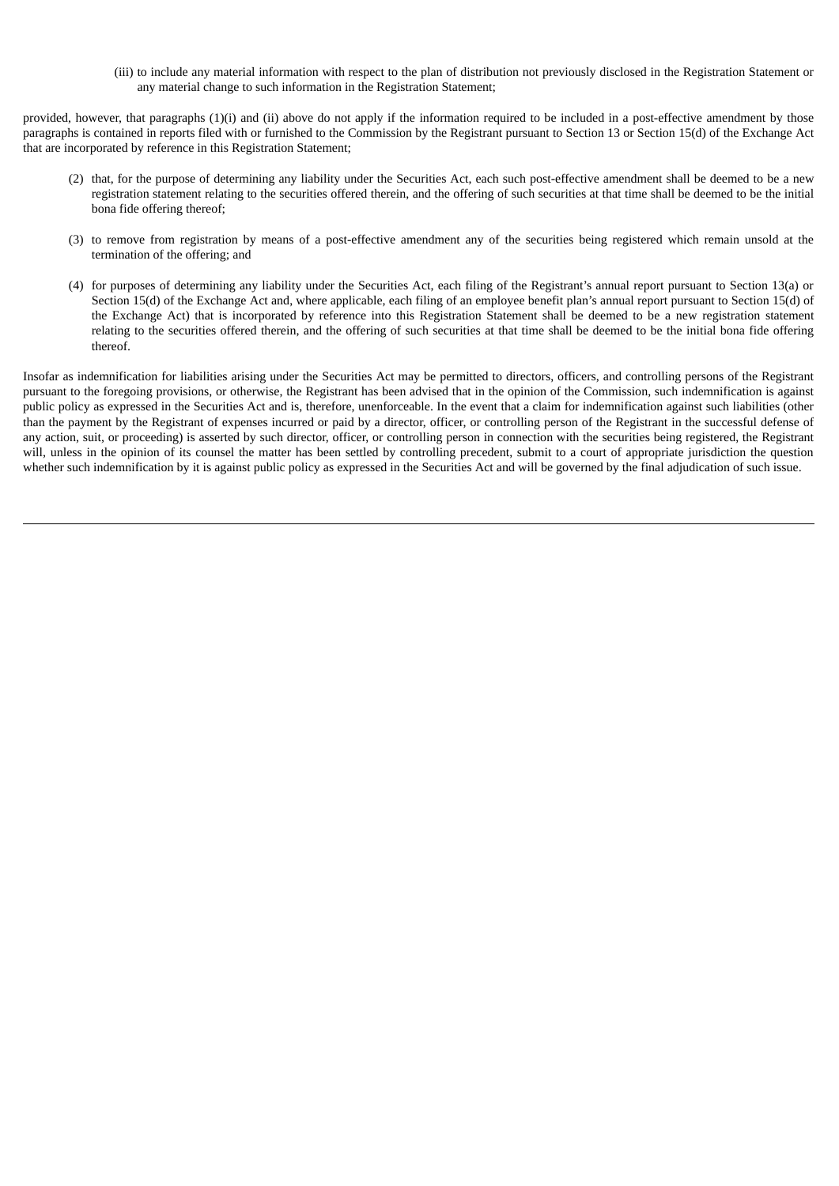(iii) to include any material information with respect to the plan of distribution not previously disclosed in the Registration Statement or any material change to such information in the Registration Statement;

provided, however, that paragraphs (1)(i) and (ii) above do not apply if the information required to be included in a post-effective amendment by those paragraphs is contained in reports filed with or furnished to the Commission by the Registrant pursuant to Section 13 or Section 15(d) of the Exchange Act that are incorporated by reference in this Registration Statement;

- (2) that, for the purpose of determining any liability under the Securities Act, each such post-effective amendment shall be deemed to be a new registration statement relating to the securities offered therein, and the offering of such securities at that time shall be deemed to be the initial bona fide offering thereof;
- (3) to remove from registration by means of a post-effective amendment any of the securities being registered which remain unsold at the termination of the offering; and
- (4) for purposes of determining any liability under the Securities Act, each filing of the Registrant's annual report pursuant to Section 13(a) or Section 15(d) of the Exchange Act and, where applicable, each filing of an employee benefit plan's annual report pursuant to Section 15(d) of the Exchange Act) that is incorporated by reference into this Registration Statement shall be deemed to be a new registration statement relating to the securities offered therein, and the offering of such securities at that time shall be deemed to be the initial bona fide offering thereof.

Insofar as indemnification for liabilities arising under the Securities Act may be permitted to directors, officers, and controlling persons of the Registrant pursuant to the foregoing provisions, or otherwise, the Registrant has been advised that in the opinion of the Commission, such indemnification is against public policy as expressed in the Securities Act and is, therefore, unenforceable. In the event that a claim for indemnification against such liabilities (other than the payment by the Registrant of expenses incurred or paid by a director, officer, or controlling person of the Registrant in the successful defense of any action, suit, or proceeding) is asserted by such director, officer, or controlling person in connection with the securities being registered, the Registrant will, unless in the opinion of its counsel the matter has been settled by controlling precedent, submit to a court of appropriate jurisdiction the question whether such indemnification by it is against public policy as expressed in the Securities Act and will be governed by the final adjudication of such issue.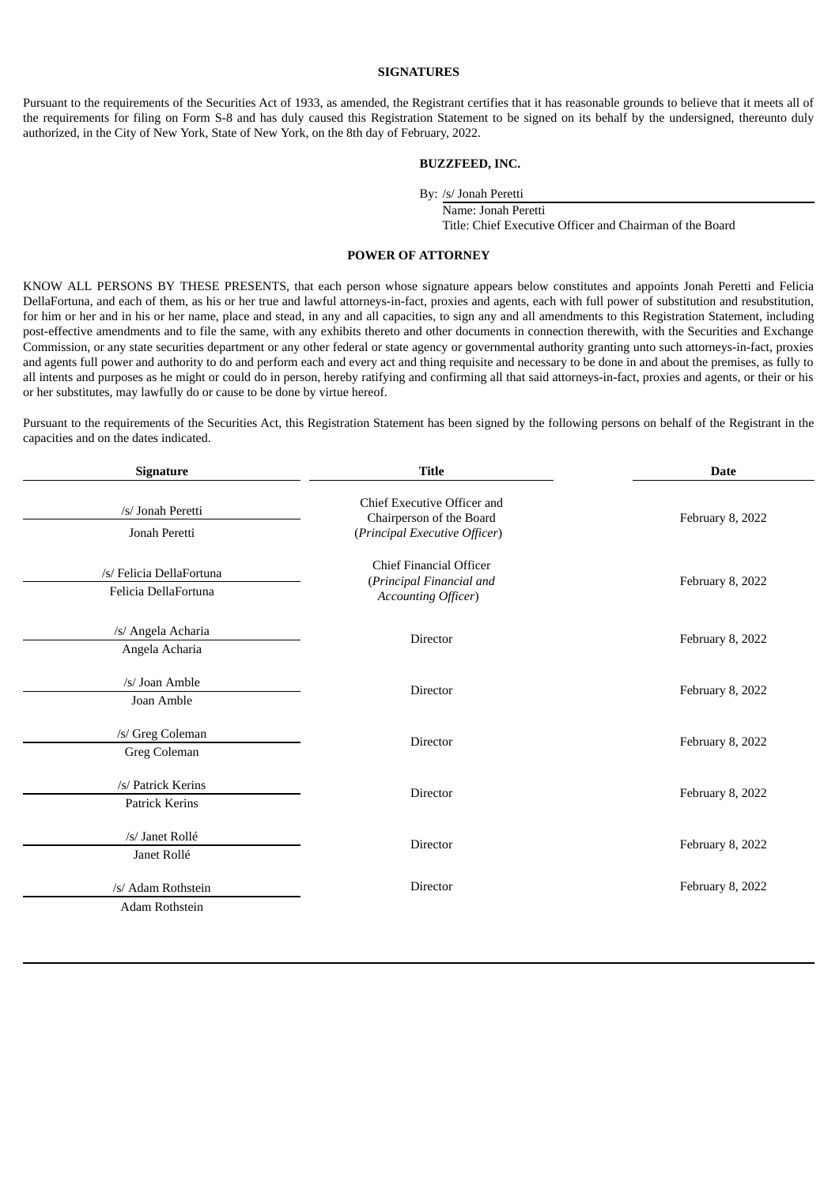### **SIGNATURES**

Pursuant to the requirements of the Securities Act of 1933, as amended, the Registrant certifies that it has reasonable grounds to believe that it meets all of the requirements for filing on Form S-8 and has duly caused this Registration Statement to be signed on its behalf by the undersigned, thereunto duly authorized, in the City of New York, State of New York, on the 8th day of February, 2022.

#### **BUZZFEED, INC.**

By: /s/ Jonah Peretti

Name: Jonah Peretti

Title: Chief Executive Officer and Chairman of the Board

### **POWER OF ATTORNEY**

<span id="page-5-0"></span>KNOW ALL PERSONS BY THESE PRESENTS, that each person whose signature appears below constitutes and appoints Jonah Peretti and Felicia DellaFortuna, and each of them, as his or her true and lawful attorneys-in-fact, proxies and agents, each with full power of substitution and resubstitution, for him or her and in his or her name, place and stead, in any and all capacities, to sign any and all amendments to this Registration Statement, including post-effective amendments and to file the same, with any exhibits thereto and other documents in connection therewith, with the Securities and Exchange Commission, or any state securities department or any other federal or state agency or governmental authority granting unto such attorneys-in-fact, proxies and agents full power and authority to do and perform each and every act and thing requisite and necessary to be done in and about the premises, as fully to all intents and purposes as he might or could do in person, hereby ratifying and confirming all that said attorneys-in-fact, proxies and agents, or their or his or her substitutes, may lawfully do or cause to be done by virtue hereof.

Pursuant to the requirements of the Securities Act, this Registration Statement has been signed by the following persons on behalf of the Registrant in the capacities and on the dates indicated.

| Signature                                        | <b>Title</b>                                                                                    | <b>Date</b>      |  |  |  |
|--------------------------------------------------|-------------------------------------------------------------------------------------------------|------------------|--|--|--|
| /s/ Jonah Peretti<br>Jonah Peretti               | <b>Chief Executive Officer and</b><br>Chairperson of the Board<br>(Principal Executive Officer) | February 8, 2022 |  |  |  |
| /s/ Felicia DellaFortuna<br>Felicia DellaFortuna | Chief Financial Officer<br>(Principal Financial and<br><b>Accounting Officer)</b>               | February 8, 2022 |  |  |  |
| /s/ Angela Acharia<br>Angela Acharia             | Director                                                                                        | February 8, 2022 |  |  |  |
| /s/ Joan Amble<br>Joan Amble                     | Director                                                                                        | February 8, 2022 |  |  |  |
| /s/ Greg Coleman<br>Greg Coleman                 | Director                                                                                        | February 8, 2022 |  |  |  |
| /s/ Patrick Kerins<br><b>Patrick Kerins</b>      | Director                                                                                        | February 8, 2022 |  |  |  |
| /s/ Janet Rollé<br>Janet Rollé                   | Director                                                                                        | February 8, 2022 |  |  |  |
| /s/ Adam Rothstein<br>Adam Rothstein             | Director                                                                                        | February 8, 2022 |  |  |  |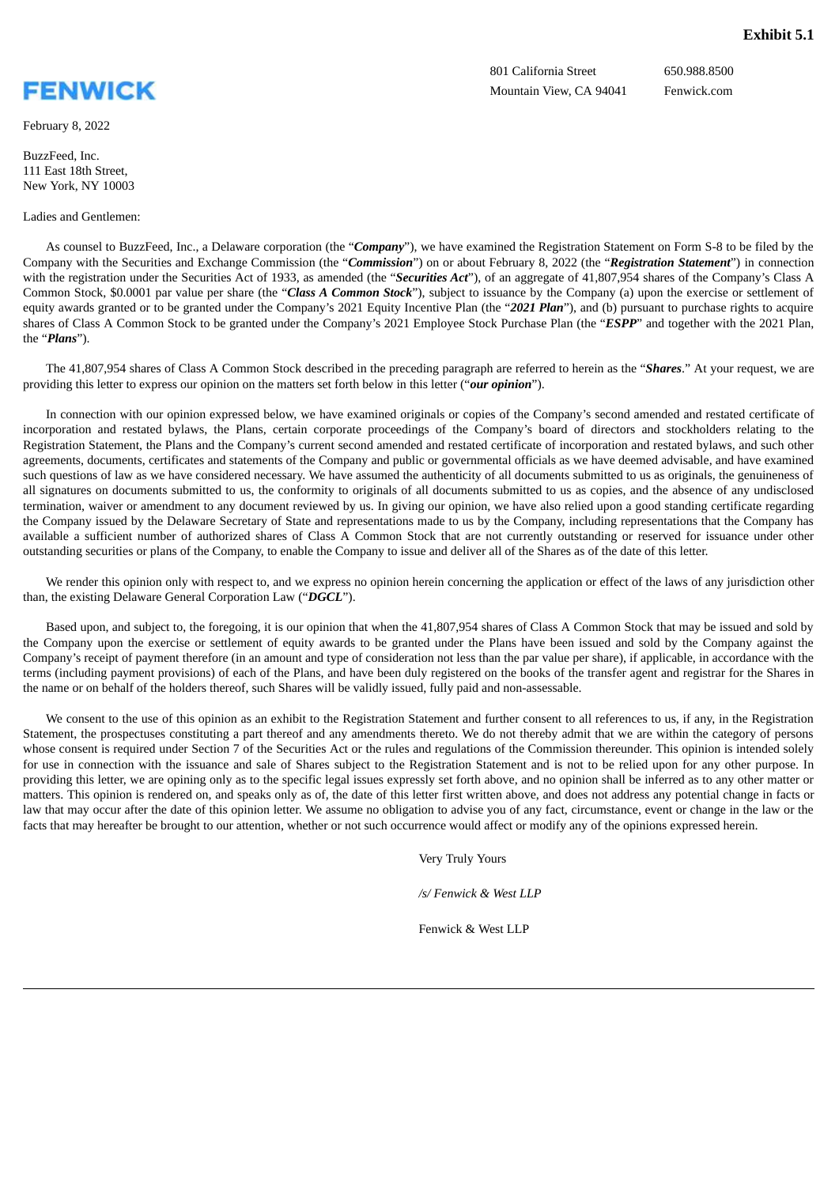<span id="page-6-0"></span>

February 8, 2022

BuzzFeed, Inc. 111 East 18th Street, New York, NY 10003

#### Ladies and Gentlemen:

801 California Street 650.988.8500 Mountain View, CA 94041 Fenwick.com

As counsel to BuzzFeed, Inc., a Delaware corporation (the "*Company*"), we have examined the Registration Statement on Form S-8 to be filed by the Company with the Securities and Exchange Commission (the "*Commission*") on or about February 8, 2022 (the "*Registration Statement*") in connection with the registration under the Securities Act of 1933, as amended (the "Securities Act"), of an aggregate of 41,807,954 shares of the Company's Class A Common Stock, \$0.0001 par value per share (the "*Class A Common Stock*"), subject to issuance by the Company (a) upon the exercise or settlement of equity awards granted or to be granted under the Company's 2021 Equity Incentive Plan (the "*2021 Plan*"), and (b) pursuant to purchase rights to acquire shares of Class A Common Stock to be granted under the Company's 2021 Employee Stock Purchase Plan (the "*ESPP*" and together with the 2021 Plan, the "*Plans*").

The 41,807,954 shares of Class A Common Stock described in the preceding paragraph are referred to herein as the "*Shares*." At your request, we are providing this letter to express our opinion on the matters set forth below in this letter ("*our opinion*").

In connection with our opinion expressed below, we have examined originals or copies of the Company's second amended and restated certificate of incorporation and restated bylaws, the Plans, certain corporate proceedings of the Company's board of directors and stockholders relating to the Registration Statement, the Plans and the Company's current second amended and restated certificate of incorporation and restated bylaws, and such other agreements, documents, certificates and statements of the Company and public or governmental officials as we have deemed advisable, and have examined such questions of law as we have considered necessary. We have assumed the authenticity of all documents submitted to us as originals, the genuineness of all signatures on documents submitted to us, the conformity to originals of all documents submitted to us as copies, and the absence of any undisclosed termination, waiver or amendment to any document reviewed by us. In giving our opinion, we have also relied upon a good standing certificate regarding the Company issued by the Delaware Secretary of State and representations made to us by the Company, including representations that the Company has available a sufficient number of authorized shares of Class A Common Stock that are not currently outstanding or reserved for issuance under other outstanding securities or plans of the Company, to enable the Company to issue and deliver all of the Shares as of the date of this letter.

We render this opinion only with respect to, and we express no opinion herein concerning the application or effect of the laws of any jurisdiction other than, the existing Delaware General Corporation Law ("*DGCL*").

Based upon, and subject to, the foregoing, it is our opinion that when the 41,807,954 shares of Class A Common Stock that may be issued and sold by the Company upon the exercise or settlement of equity awards to be granted under the Plans have been issued and sold by the Company against the Company's receipt of payment therefore (in an amount and type of consideration not less than the par value per share), if applicable, in accordance with the terms (including payment provisions) of each of the Plans, and have been duly registered on the books of the transfer agent and registrar for the Shares in the name or on behalf of the holders thereof, such Shares will be validly issued, fully paid and non-assessable.

We consent to the use of this opinion as an exhibit to the Registration Statement and further consent to all references to us, if any, in the Registration Statement, the prospectuses constituting a part thereof and any amendments thereto. We do not thereby admit that we are within the category of persons whose consent is required under Section 7 of the Securities Act or the rules and regulations of the Commission thereunder. This opinion is intended solely for use in connection with the issuance and sale of Shares subject to the Registration Statement and is not to be relied upon for any other purpose. In providing this letter, we are opining only as to the specific legal issues expressly set forth above, and no opinion shall be inferred as to any other matter or matters. This opinion is rendered on, and speaks only as of, the date of this letter first written above, and does not address any potential change in facts or law that may occur after the date of this opinion letter. We assume no obligation to advise you of any fact, circumstance, event or change in the law or the facts that may hereafter be brought to our attention, whether or not such occurrence would affect or modify any of the opinions expressed herein.

Very Truly Yours

*/s/ Fenwick & West LLP*

Fenwick & West LLP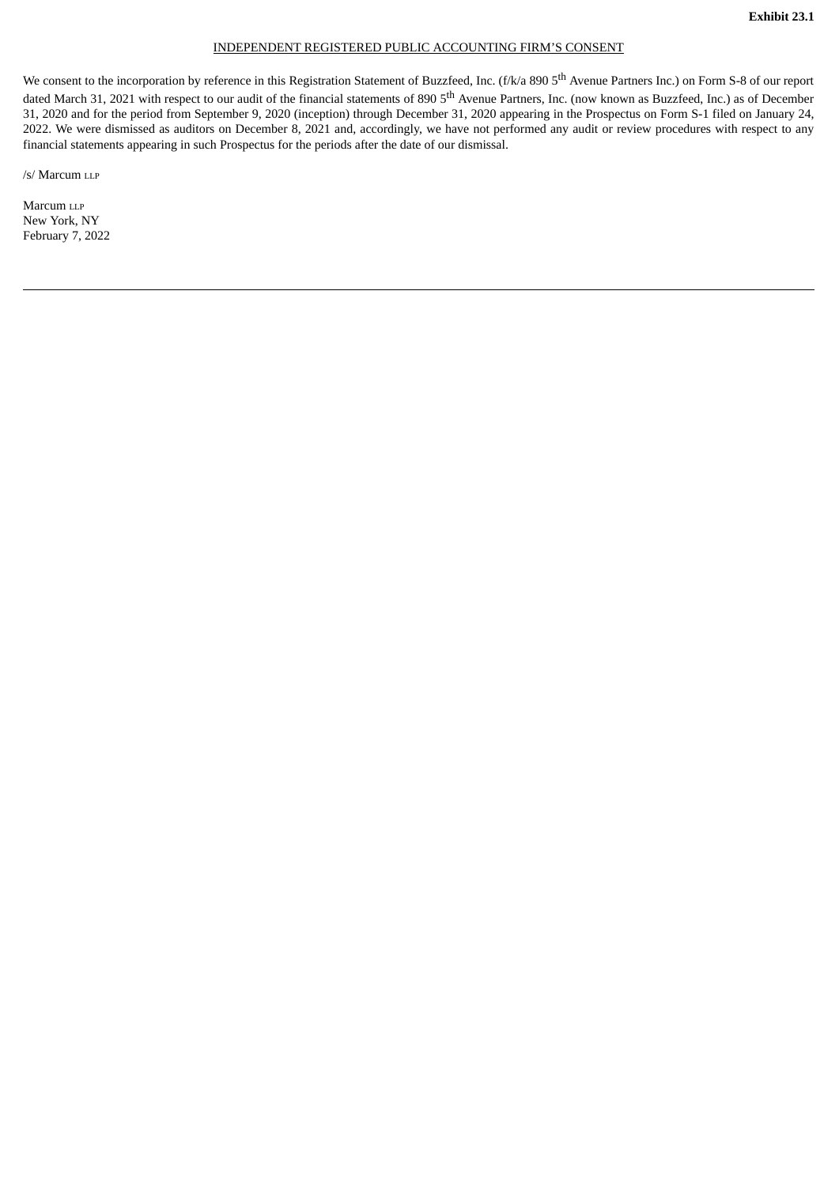#### INDEPENDENT REGISTERED PUBLIC ACCOUNTING FIRM'S CONSENT

<span id="page-7-0"></span>We consent to the incorporation by reference in this Registration Statement of Buzzfeed, Inc. (f/k/a 890 5<sup>th</sup> Avenue Partners Inc.) on Form S-8 of our report dated March 31, 2021 with respect to our audit of the financial statements of 890 5<sup>th</sup> Avenue Partners, Inc. (now known as Buzzfeed, Inc.) as of December 31, 2020 and for the period from September 9, 2020 (inception) through December 31, 2020 appearing in the Prospectus on Form S-1 filed on January 24, 2022. We were dismissed as auditors on December 8, 2021 and, accordingly, we have not performed any audit or review procedures with respect to any financial statements appearing in such Prospectus for the periods after the date of our dismissal.

/s/ Marcum LLP

Marcum LLP New York, NY February 7, 2022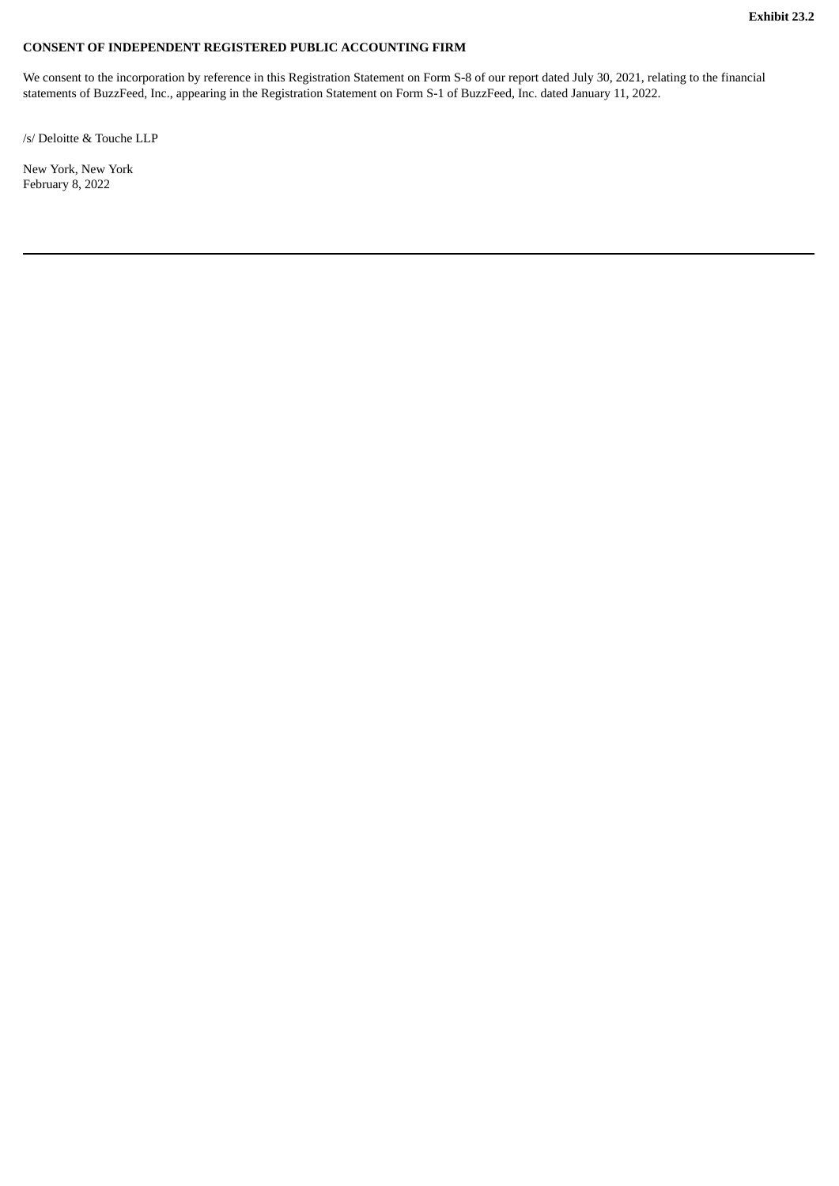### <span id="page-8-0"></span>**CONSENT OF INDEPENDENT REGISTERED PUBLIC ACCOUNTING FIRM**

We consent to the incorporation by reference in this Registration Statement on Form S-8 of our report dated July 30, 2021, relating to the financial statements of BuzzFeed, Inc., appearing in the Registration Statement on Form S-1 of BuzzFeed, Inc. dated January 11, 2022.

/s/ Deloitte & Touche LLP

New York, New York February 8, 2022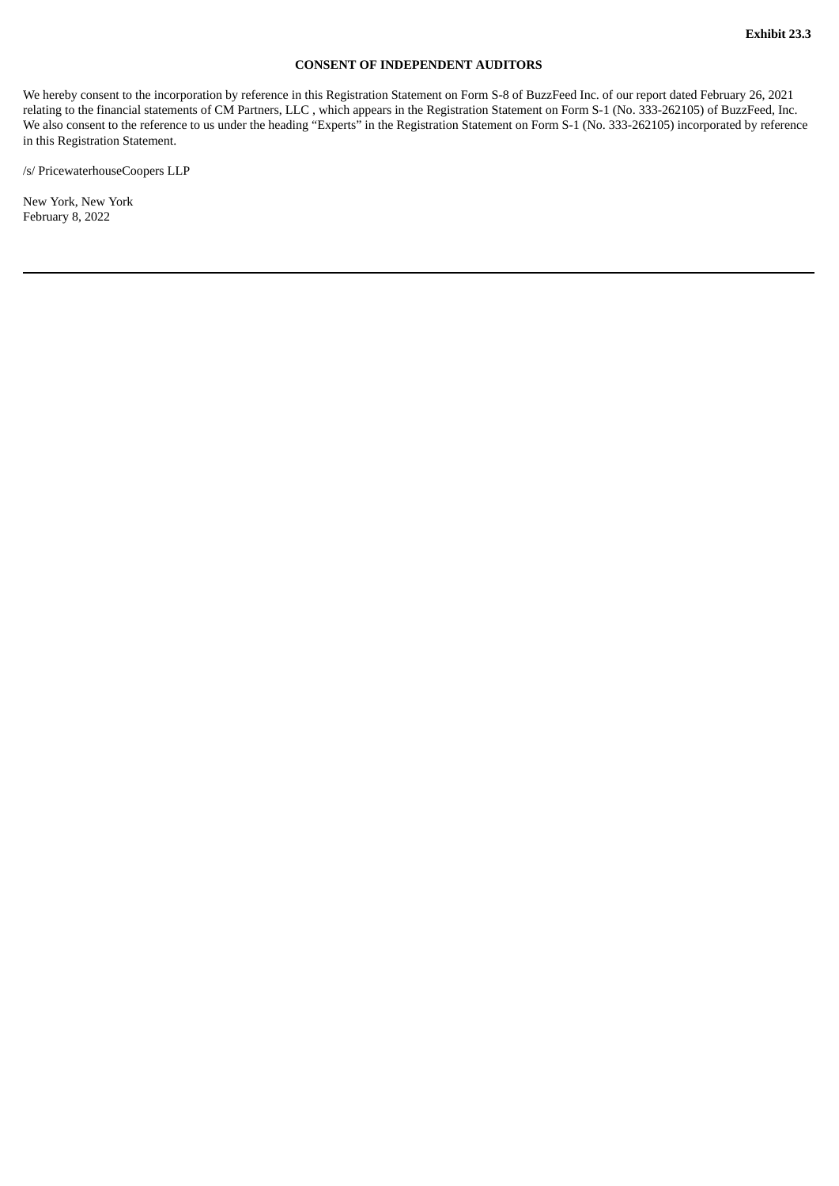### **CONSENT OF INDEPENDENT AUDITORS**

<span id="page-9-0"></span>We hereby consent to the incorporation by reference in this Registration Statement on Form S-8 of BuzzFeed Inc. of our report dated February 26, 2021 relating to the financial statements of CM Partners, LLC , which appears in the Registration Statement on Form S-1 (No. 333-262105) of BuzzFeed, Inc. We also consent to the reference to us under the heading "Experts" in the Registration Statement on Form S-1 (No. 333-262105) incorporated by reference in this Registration Statement.

/s/ PricewaterhouseCoopers LLP

New York, New York February 8, 2022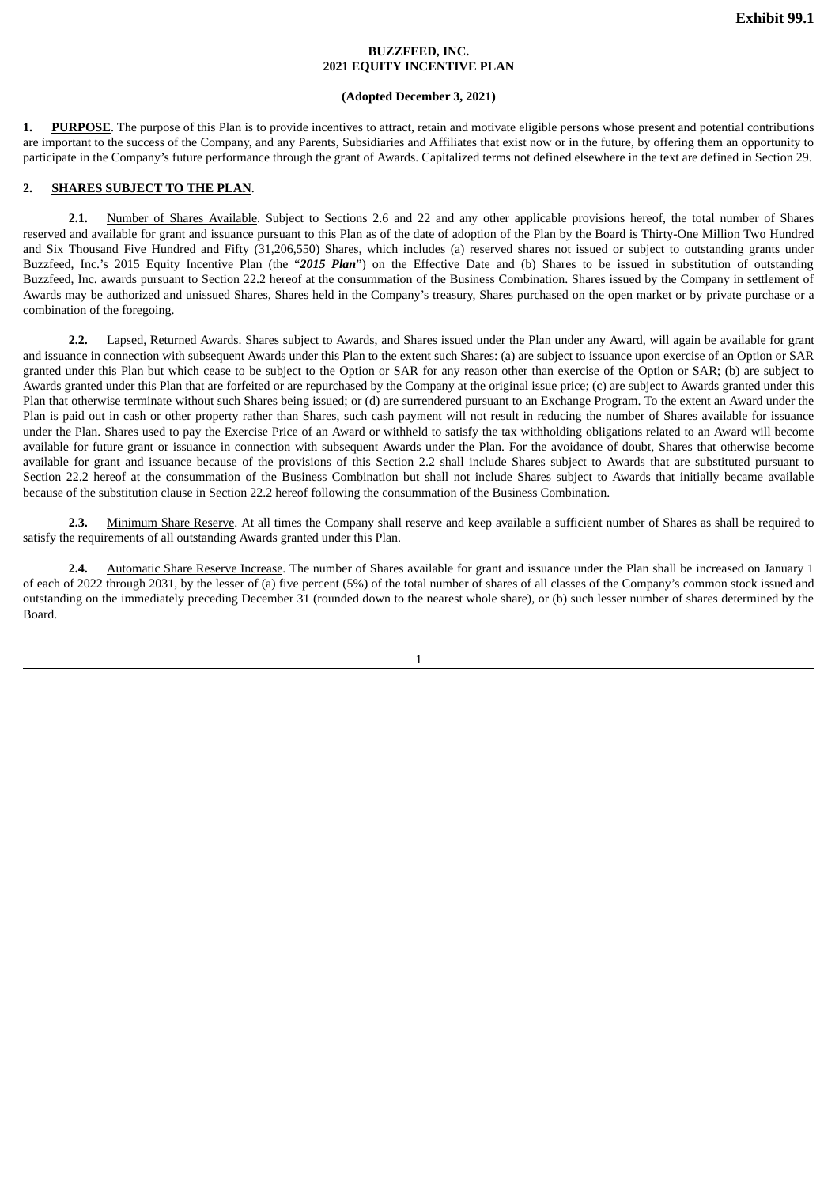### **BUZZFEED, INC. 2021 EQUITY INCENTIVE PLAN**

#### **(Adopted December 3, 2021)**

<span id="page-10-0"></span>**1. PURPOSE**. The purpose of this Plan is to provide incentives to attract, retain and motivate eligible persons whose present and potential contributions are important to the success of the Company, and any Parents, Subsidiaries and Affiliates that exist now or in the future, by offering them an opportunity to participate in the Company's future performance through the grant of Awards. Capitalized terms not defined elsewhere in the text are defined in Section 29.

#### **2. SHARES SUBJECT TO THE PLAN**.

**2.1.** Number of Shares Available. Subject to Sections 2.6 and 22 and any other applicable provisions hereof, the total number of Shares reserved and available for grant and issuance pursuant to this Plan as of the date of adoption of the Plan by the Board is Thirty-One Million Two Hundred and Six Thousand Five Hundred and Fifty (31,206,550) Shares, which includes (a) reserved shares not issued or subject to outstanding grants under Buzzfeed, Inc.'s 2015 Equity Incentive Plan (the "*2015 Plan*") on the Effective Date and (b) Shares to be issued in substitution of outstanding Buzzfeed, Inc. awards pursuant to Section 22.2 hereof at the consummation of the Business Combination. Shares issued by the Company in settlement of Awards may be authorized and unissued Shares, Shares held in the Company's treasury, Shares purchased on the open market or by private purchase or a combination of the foregoing.

**2.2.** Lapsed, Returned Awards. Shares subject to Awards, and Shares issued under the Plan under any Award, will again be available for grant and issuance in connection with subsequent Awards under this Plan to the extent such Shares: (a) are subject to issuance upon exercise of an Option or SAR granted under this Plan but which cease to be subject to the Option or SAR for any reason other than exercise of the Option or SAR; (b) are subject to Awards granted under this Plan that are forfeited or are repurchased by the Company at the original issue price; (c) are subject to Awards granted under this Plan that otherwise terminate without such Shares being issued; or (d) are surrendered pursuant to an Exchange Program. To the extent an Award under the Plan is paid out in cash or other property rather than Shares, such cash payment will not result in reducing the number of Shares available for issuance under the Plan. Shares used to pay the Exercise Price of an Award or withheld to satisfy the tax withholding obligations related to an Award will become available for future grant or issuance in connection with subsequent Awards under the Plan. For the avoidance of doubt, Shares that otherwise become available for grant and issuance because of the provisions of this Section 2.2 shall include Shares subject to Awards that are substituted pursuant to Section 22.2 hereof at the consummation of the Business Combination but shall not include Shares subject to Awards that initially became available because of the substitution clause in Section 22.2 hereof following the consummation of the Business Combination.

**2.3.** Minimum Share Reserve. At all times the Company shall reserve and keep available a sufficient number of Shares as shall be required to satisfy the requirements of all outstanding Awards granted under this Plan.

**2.4.** Automatic Share Reserve Increase. The number of Shares available for grant and issuance under the Plan shall be increased on January 1 of each of 2022 through 2031, by the lesser of (a) five percent (5%) of the total number of shares of all classes of the Company's common stock issued and outstanding on the immediately preceding December 31 (rounded down to the nearest whole share), or (b) such lesser number of shares determined by the Board.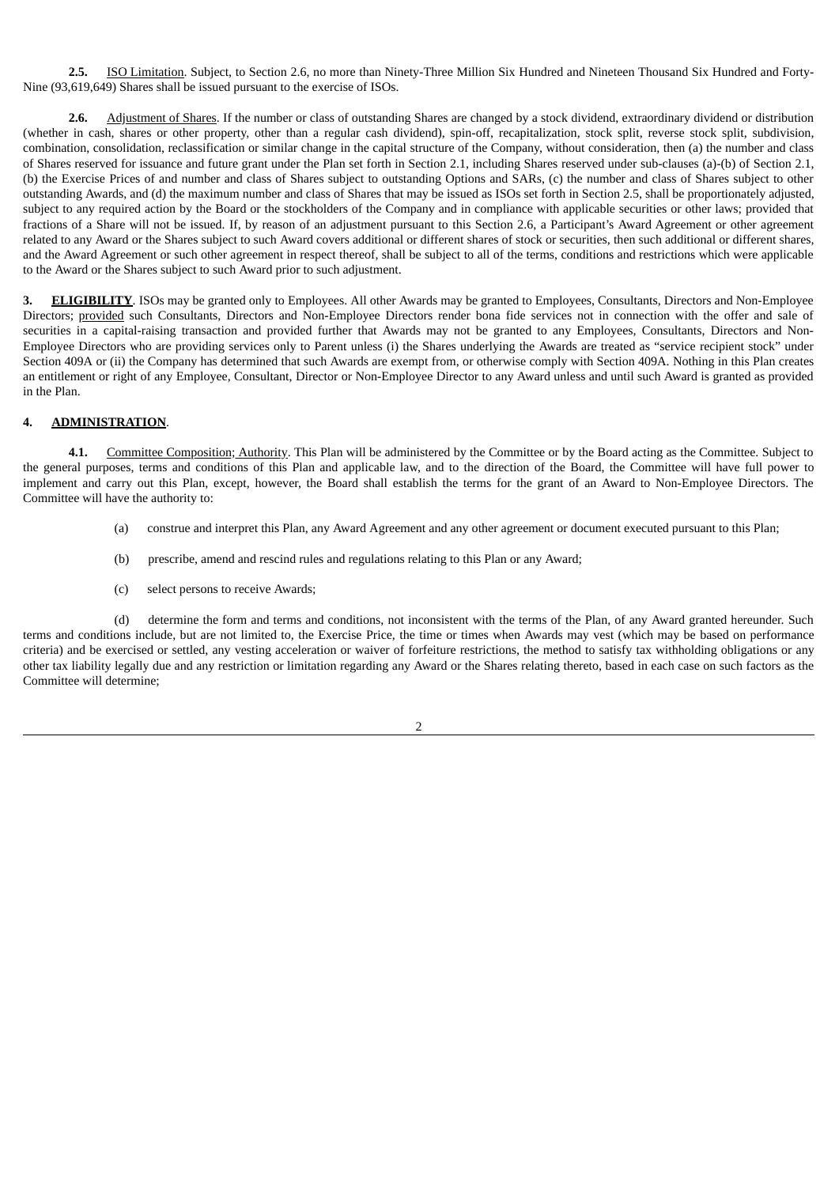**2.5.** ISO Limitation. Subject, to Section 2.6, no more than Ninety-Three Million Six Hundred and Nineteen Thousand Six Hundred and Forty-Nine (93,619,649) Shares shall be issued pursuant to the exercise of ISOs.

**2.6.** Adjustment of Shares. If the number or class of outstanding Shares are changed by a stock dividend, extraordinary dividend or distribution (whether in cash, shares or other property, other than a regular cash dividend), spin-off, recapitalization, stock split, reverse stock split, subdivision, combination, consolidation, reclassification or similar change in the capital structure of the Company, without consideration, then (a) the number and class of Shares reserved for issuance and future grant under the Plan set forth in Section 2.1, including Shares reserved under sub-clauses (a)-(b) of Section 2.1, (b) the Exercise Prices of and number and class of Shares subject to outstanding Options and SARs, (c) the number and class of Shares subject to other outstanding Awards, and (d) the maximum number and class of Shares that may be issued as ISOs set forth in Section 2.5, shall be proportionately adjusted, subject to any required action by the Board or the stockholders of the Company and in compliance with applicable securities or other laws; provided that fractions of a Share will not be issued. If, by reason of an adjustment pursuant to this Section 2.6, a Participant's Award Agreement or other agreement related to any Award or the Shares subject to such Award covers additional or different shares of stock or securities, then such additional or different shares, and the Award Agreement or such other agreement in respect thereof, shall be subject to all of the terms, conditions and restrictions which were applicable to the Award or the Shares subject to such Award prior to such adjustment.

**3. ELIGIBILITY**. ISOs may be granted only to Employees. All other Awards may be granted to Employees, Consultants, Directors and Non-Employee Directors; provided such Consultants, Directors and Non-Employee Directors render bona fide services not in connection with the offer and sale of securities in a capital-raising transaction and provided further that Awards may not be granted to any Employees, Consultants, Directors and Non-Employee Directors who are providing services only to Parent unless (i) the Shares underlying the Awards are treated as "service recipient stock" under Section 409A or (ii) the Company has determined that such Awards are exempt from, or otherwise comply with Section 409A. Nothing in this Plan creates an entitlement or right of any Employee, Consultant, Director or Non-Employee Director to any Award unless and until such Award is granted as provided in the Plan.

### **4. ADMINISTRATION**.

**4.1.** Committee Composition; Authority. This Plan will be administered by the Committee or by the Board acting as the Committee. Subject to the general purposes, terms and conditions of this Plan and applicable law, and to the direction of the Board, the Committee will have full power to implement and carry out this Plan, except, however, the Board shall establish the terms for the grant of an Award to Non-Employee Directors. The Committee will have the authority to:

- (a) construe and interpret this Plan, any Award Agreement and any other agreement or document executed pursuant to this Plan;
- (b) prescribe, amend and rescind rules and regulations relating to this Plan or any Award;
- (c) select persons to receive Awards;

(d) determine the form and terms and conditions, not inconsistent with the terms of the Plan, of any Award granted hereunder. Such terms and conditions include, but are not limited to, the Exercise Price, the time or times when Awards may vest (which may be based on performance criteria) and be exercised or settled, any vesting acceleration or waiver of forfeiture restrictions, the method to satisfy tax withholding obligations or any other tax liability legally due and any restriction or limitation regarding any Award or the Shares relating thereto, based in each case on such factors as the Committee will determine;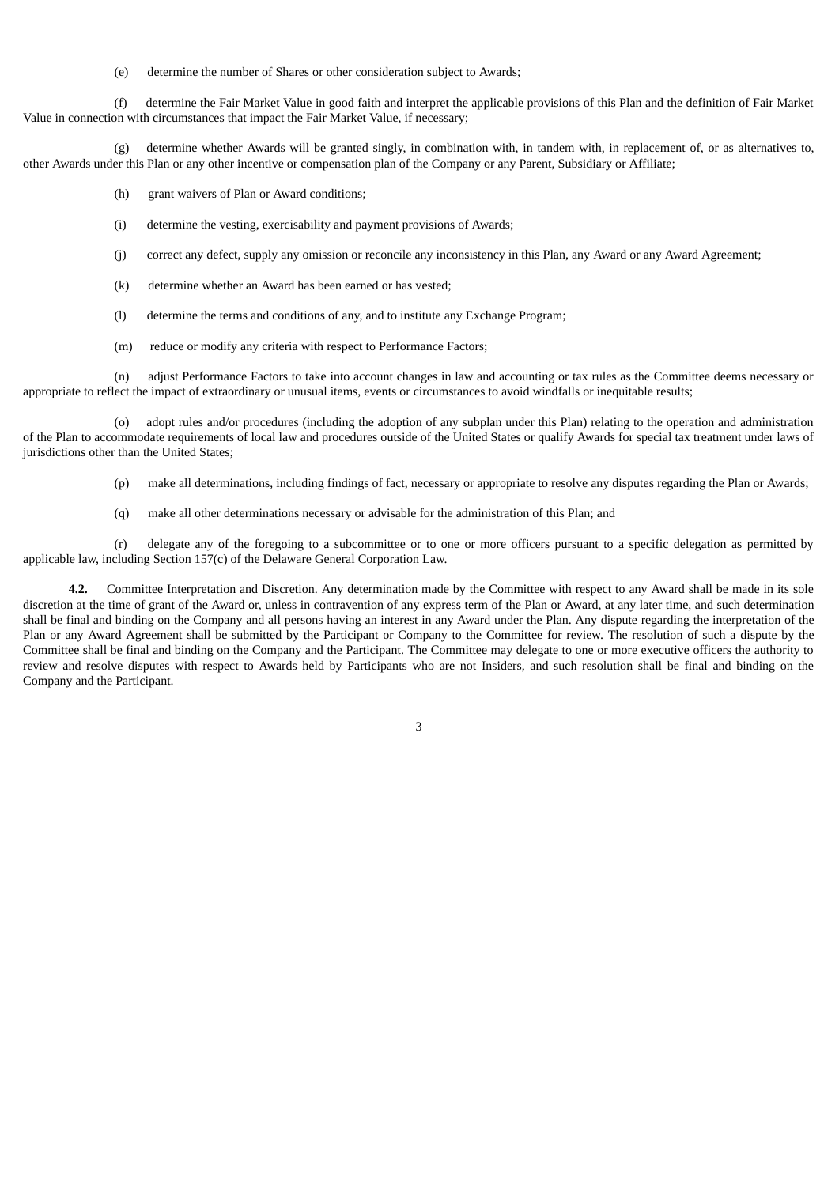(e) determine the number of Shares or other consideration subject to Awards;

(f) determine the Fair Market Value in good faith and interpret the applicable provisions of this Plan and the definition of Fair Market Value in connection with circumstances that impact the Fair Market Value, if necessary;

(g) determine whether Awards will be granted singly, in combination with, in tandem with, in replacement of, or as alternatives to, other Awards under this Plan or any other incentive or compensation plan of the Company or any Parent, Subsidiary or Affiliate;

- (h) grant waivers of Plan or Award conditions;
- (i) determine the vesting, exercisability and payment provisions of Awards;
- (j) correct any defect, supply any omission or reconcile any inconsistency in this Plan, any Award or any Award Agreement;
- (k) determine whether an Award has been earned or has vested;
- (l) determine the terms and conditions of any, and to institute any Exchange Program;
- (m) reduce or modify any criteria with respect to Performance Factors;

(n) adjust Performance Factors to take into account changes in law and accounting or tax rules as the Committee deems necessary or appropriate to reflect the impact of extraordinary or unusual items, events or circumstances to avoid windfalls or inequitable results;

(o) adopt rules and/or procedures (including the adoption of any subplan under this Plan) relating to the operation and administration of the Plan to accommodate requirements of local law and procedures outside of the United States or qualify Awards for special tax treatment under laws of jurisdictions other than the United States;

- (p) make all determinations, including findings of fact, necessary or appropriate to resolve any disputes regarding the Plan or Awards;
- (q) make all other determinations necessary or advisable for the administration of this Plan; and

(r) delegate any of the foregoing to a subcommittee or to one or more officers pursuant to a specific delegation as permitted by applicable law, including Section 157(c) of the Delaware General Corporation Law.

**4.2.** Committee Interpretation and Discretion. Any determination made by the Committee with respect to any Award shall be made in its sole discretion at the time of grant of the Award or, unless in contravention of any express term of the Plan or Award, at any later time, and such determination shall be final and binding on the Company and all persons having an interest in any Award under the Plan. Any dispute regarding the interpretation of the Plan or any Award Agreement shall be submitted by the Participant or Company to the Committee for review. The resolution of such a dispute by the Committee shall be final and binding on the Company and the Participant. The Committee may delegate to one or more executive officers the authority to review and resolve disputes with respect to Awards held by Participants who are not Insiders, and such resolution shall be final and binding on the Company and the Participant.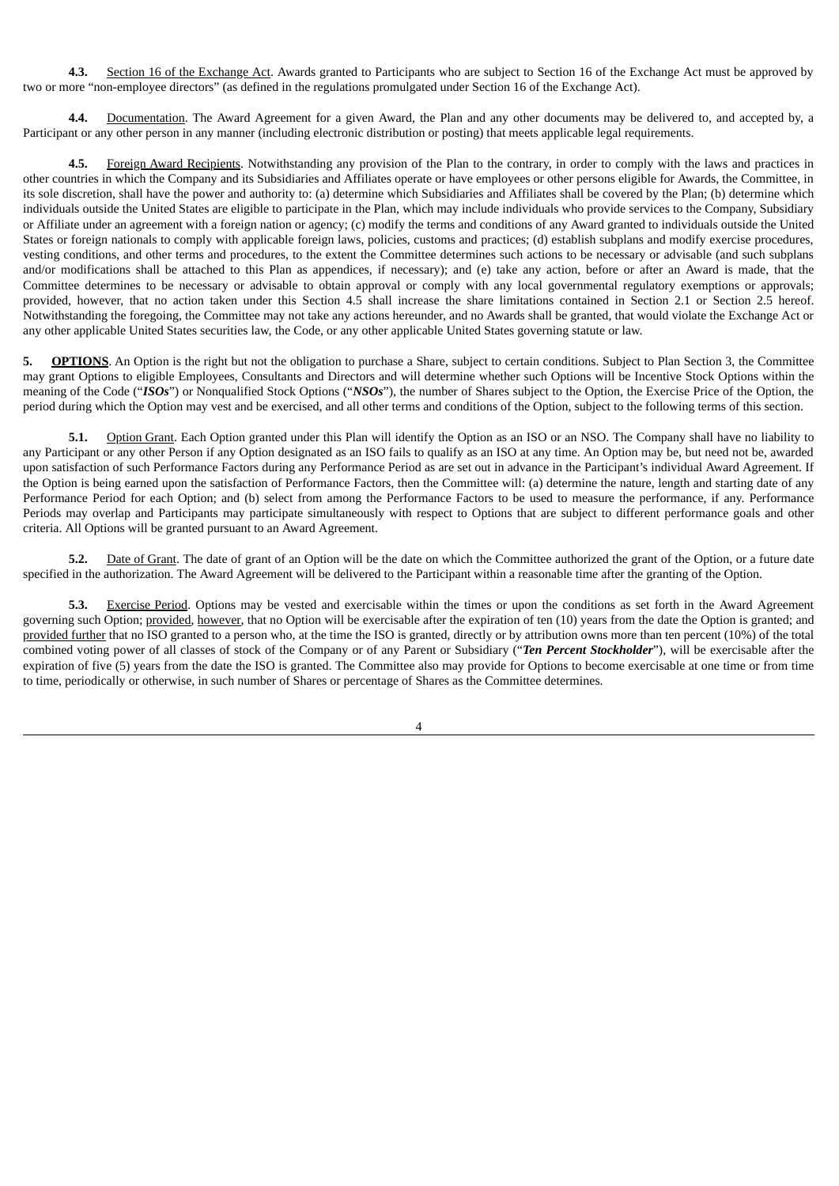**4.3.** Section 16 of the Exchange Act. Awards granted to Participants who are subject to Section 16 of the Exchange Act must be approved by two or more "non-employee directors" (as defined in the regulations promulgated under Section 16 of the Exchange Act).

**4.4.** Documentation. The Award Agreement for a given Award, the Plan and any other documents may be delivered to, and accepted by, a Participant or any other person in any manner (including electronic distribution or posting) that meets applicable legal requirements.

**4.5.** Foreign Award Recipients. Notwithstanding any provision of the Plan to the contrary, in order to comply with the laws and practices in other countries in which the Company and its Subsidiaries and Affiliates operate or have employees or other persons eligible for Awards, the Committee, in its sole discretion, shall have the power and authority to: (a) determine which Subsidiaries and Affiliates shall be covered by the Plan; (b) determine which individuals outside the United States are eligible to participate in the Plan, which may include individuals who provide services to the Company, Subsidiary or Affiliate under an agreement with a foreign nation or agency; (c) modify the terms and conditions of any Award granted to individuals outside the United States or foreign nationals to comply with applicable foreign laws, policies, customs and practices; (d) establish subplans and modify exercise procedures, vesting conditions, and other terms and procedures, to the extent the Committee determines such actions to be necessary or advisable (and such subplans and/or modifications shall be attached to this Plan as appendices, if necessary); and (e) take any action, before or after an Award is made, that the Committee determines to be necessary or advisable to obtain approval or comply with any local governmental regulatory exemptions or approvals; provided, however, that no action taken under this Section 4.5 shall increase the share limitations contained in Section 2.1 or Section 2.5 hereof. Notwithstanding the foregoing, the Committee may not take any actions hereunder, and no Awards shall be granted, that would violate the Exchange Act or any other applicable United States securities law, the Code, or any other applicable United States governing statute or law.

5. **OPTIONS**. An Option is the right but not the obligation to purchase a Share, subject to certain conditions. Subject to Plan Section 3, the Committee may grant Options to eligible Employees, Consultants and Directors and will determine whether such Options will be Incentive Stock Options within the meaning of the Code ("*ISOs*") or Nonqualified Stock Options ("*NSOs*"), the number of Shares subject to the Option, the Exercise Price of the Option, the period during which the Option may vest and be exercised, and all other terms and conditions of the Option, subject to the following terms of this section.

**5.1.** Option Grant. Each Option granted under this Plan will identify the Option as an ISO or an NSO. The Company shall have no liability to any Participant or any other Person if any Option designated as an ISO fails to qualify as an ISO at any time. An Option may be, but need not be, awarded upon satisfaction of such Performance Factors during any Performance Period as are set out in advance in the Participant's individual Award Agreement. If the Option is being earned upon the satisfaction of Performance Factors, then the Committee will: (a) determine the nature, length and starting date of any Performance Period for each Option; and (b) select from among the Performance Factors to be used to measure the performance, if any. Performance Periods may overlap and Participants may participate simultaneously with respect to Options that are subject to different performance goals and other criteria. All Options will be granted pursuant to an Award Agreement.

**5.2.** Date of Grant. The date of grant of an Option will be the date on which the Committee authorized the grant of the Option, or a future date specified in the authorization. The Award Agreement will be delivered to the Participant within a reasonable time after the granting of the Option.

**5.3.** Exercise Period. Options may be vested and exercisable within the times or upon the conditions as set forth in the Award Agreement governing such Option; provided, however, that no Option will be exercisable after the expiration of ten (10) years from the date the Option is granted; and provided further that no ISO granted to a person who, at the time the ISO is granted, directly or by attribution owns more than ten percent (10%) of the total combined voting power of all classes of stock of the Company or of any Parent or Subsidiary ("*Ten Percent Stockholder*"), will be exercisable after the expiration of five (5) years from the date the ISO is granted. The Committee also may provide for Options to become exercisable at one time or from time to time, periodically or otherwise, in such number of Shares or percentage of Shares as the Committee determines.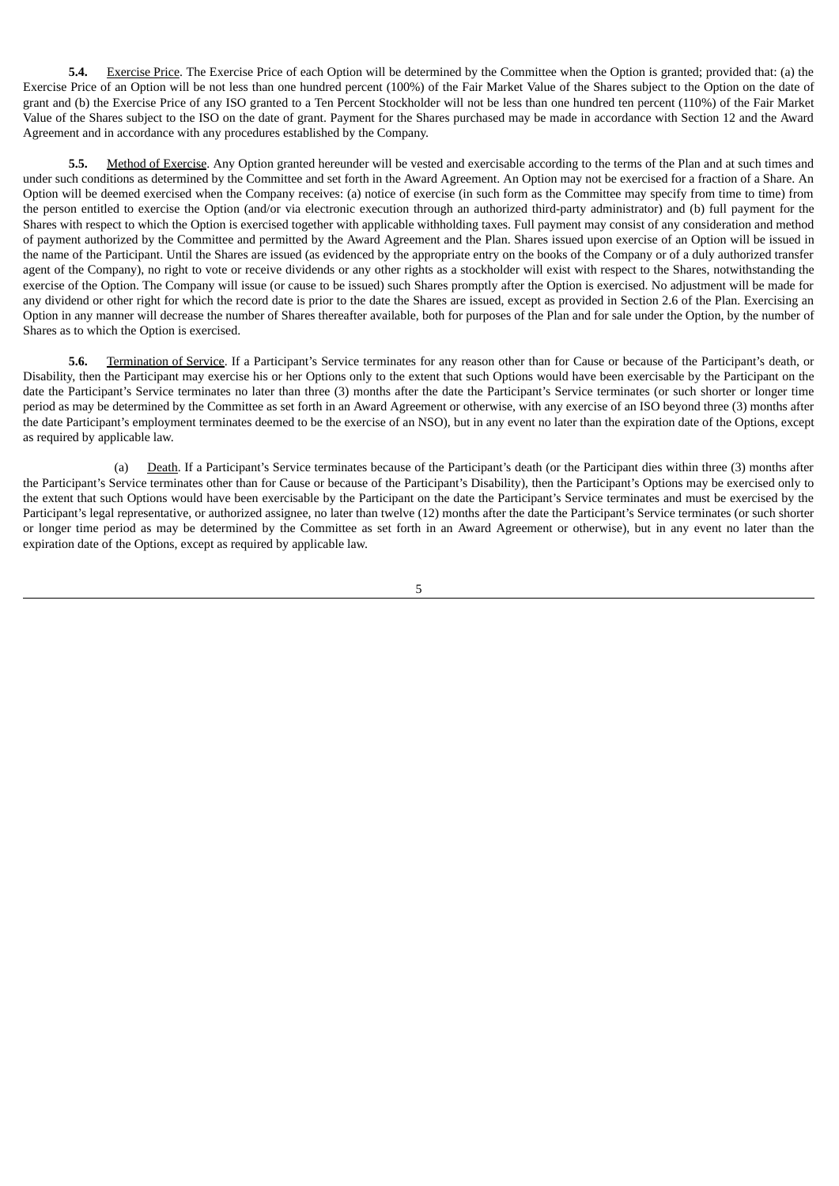**5.4.** Exercise Price. The Exercise Price of each Option will be determined by the Committee when the Option is granted; provided that: (a) the Exercise Price of an Option will be not less than one hundred percent (100%) of the Fair Market Value of the Shares subject to the Option on the date of grant and (b) the Exercise Price of any ISO granted to a Ten Percent Stockholder will not be less than one hundred ten percent (110%) of the Fair Market Value of the Shares subject to the ISO on the date of grant. Payment for the Shares purchased may be made in accordance with Section 12 and the Award Agreement and in accordance with any procedures established by the Company.

**5.5.** Method of Exercise. Any Option granted hereunder will be vested and exercisable according to the terms of the Plan and at such times and under such conditions as determined by the Committee and set forth in the Award Agreement. An Option may not be exercised for a fraction of a Share. An Option will be deemed exercised when the Company receives: (a) notice of exercise (in such form as the Committee may specify from time to time) from the person entitled to exercise the Option (and/or via electronic execution through an authorized third-party administrator) and (b) full payment for the Shares with respect to which the Option is exercised together with applicable withholding taxes. Full payment may consist of any consideration and method of payment authorized by the Committee and permitted by the Award Agreement and the Plan. Shares issued upon exercise of an Option will be issued in the name of the Participant. Until the Shares are issued (as evidenced by the appropriate entry on the books of the Company or of a duly authorized transfer agent of the Company), no right to vote or receive dividends or any other rights as a stockholder will exist with respect to the Shares, notwithstanding the exercise of the Option. The Company will issue (or cause to be issued) such Shares promptly after the Option is exercised. No adjustment will be made for any dividend or other right for which the record date is prior to the date the Shares are issued, except as provided in Section 2.6 of the Plan. Exercising an Option in any manner will decrease the number of Shares thereafter available, both for purposes of the Plan and for sale under the Option, by the number of Shares as to which the Option is exercised.

**5.6.** Termination of Service. If a Participant's Service terminates for any reason other than for Cause or because of the Participant's death, or Disability, then the Participant may exercise his or her Options only to the extent that such Options would have been exercisable by the Participant on the date the Participant's Service terminates no later than three (3) months after the date the Participant's Service terminates (or such shorter or longer time period as may be determined by the Committee as set forth in an Award Agreement or otherwise, with any exercise of an ISO beyond three (3) months after the date Participant's employment terminates deemed to be the exercise of an NSO), but in any event no later than the expiration date of the Options, except as required by applicable law.

(a) Death. If a Participant's Service terminates because of the Participant's death (or the Participant dies within three (3) months after the Participant's Service terminates other than for Cause or because of the Participant's Disability), then the Participant's Options may be exercised only to the extent that such Options would have been exercisable by the Participant on the date the Participant's Service terminates and must be exercised by the Participant's legal representative, or authorized assignee, no later than twelve (12) months after the date the Participant's Service terminates (or such shorter or longer time period as may be determined by the Committee as set forth in an Award Agreement or otherwise), but in any event no later than the expiration date of the Options, except as required by applicable law.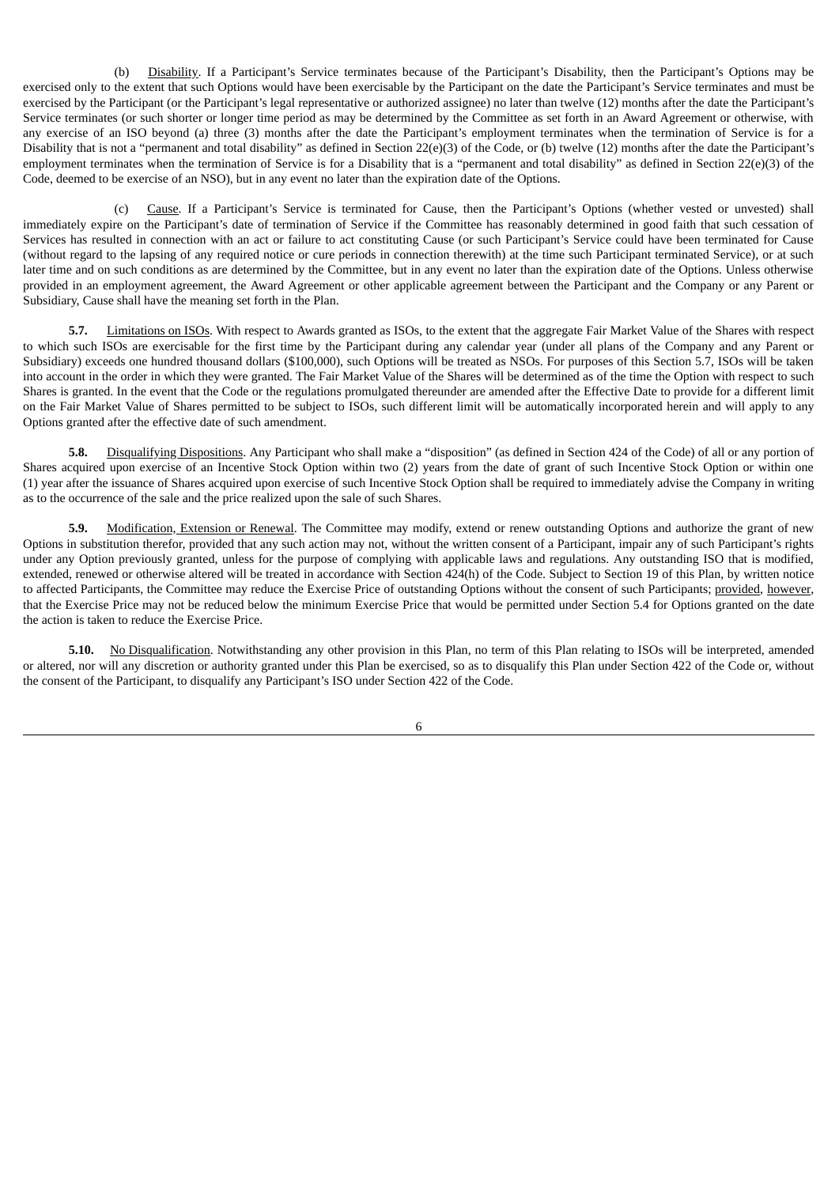(b) Disability. If a Participant's Service terminates because of the Participant's Disability, then the Participant's Options may be exercised only to the extent that such Options would have been exercisable by the Participant on the date the Participant's Service terminates and must be exercised by the Participant (or the Participant's legal representative or authorized assignee) no later than twelve (12) months after the date the Participant's Service terminates (or such shorter or longer time period as may be determined by the Committee as set forth in an Award Agreement or otherwise, with any exercise of an ISO beyond (a) three (3) months after the date the Participant's employment terminates when the termination of Service is for a Disability that is not a "permanent and total disability" as defined in Section 22(e)(3) of the Code, or (b) twelve (12) months after the date the Participant's employment terminates when the termination of Service is for a Disability that is a "permanent and total disability" as defined in Section 22(e)(3) of the Code, deemed to be exercise of an NSO), but in any event no later than the expiration date of the Options.

(c) Cause. If a Participant's Service is terminated for Cause, then the Participant's Options (whether vested or unvested) shall immediately expire on the Participant's date of termination of Service if the Committee has reasonably determined in good faith that such cessation of Services has resulted in connection with an act or failure to act constituting Cause (or such Participant's Service could have been terminated for Cause (without regard to the lapsing of any required notice or cure periods in connection therewith) at the time such Participant terminated Service), or at such later time and on such conditions as are determined by the Committee, but in any event no later than the expiration date of the Options. Unless otherwise provided in an employment agreement, the Award Agreement or other applicable agreement between the Participant and the Company or any Parent or Subsidiary, Cause shall have the meaning set forth in the Plan.

**5.7.** Limitations on ISOs. With respect to Awards granted as ISOs, to the extent that the aggregate Fair Market Value of the Shares with respect to which such ISOs are exercisable for the first time by the Participant during any calendar year (under all plans of the Company and any Parent or Subsidiary) exceeds one hundred thousand dollars (\$100,000), such Options will be treated as NSOs. For purposes of this Section 5.7, ISOs will be taken into account in the order in which they were granted. The Fair Market Value of the Shares will be determined as of the time the Option with respect to such Shares is granted. In the event that the Code or the regulations promulgated thereunder are amended after the Effective Date to provide for a different limit on the Fair Market Value of Shares permitted to be subject to ISOs, such different limit will be automatically incorporated herein and will apply to any Options granted after the effective date of such amendment.

**5.8.** Disqualifying Dispositions. Any Participant who shall make a "disposition" (as defined in Section 424 of the Code) of all or any portion of Shares acquired upon exercise of an Incentive Stock Option within two (2) years from the date of grant of such Incentive Stock Option or within one (1) year after the issuance of Shares acquired upon exercise of such Incentive Stock Option shall be required to immediately advise the Company in writing as to the occurrence of the sale and the price realized upon the sale of such Shares.

**5.9.** Modification, Extension or Renewal. The Committee may modify, extend or renew outstanding Options and authorize the grant of new Options in substitution therefor, provided that any such action may not, without the written consent of a Participant, impair any of such Participant's rights under any Option previously granted, unless for the purpose of complying with applicable laws and regulations. Any outstanding ISO that is modified, extended, renewed or otherwise altered will be treated in accordance with Section 424(h) of the Code. Subject to Section 19 of this Plan, by written notice to affected Participants, the Committee may reduce the Exercise Price of outstanding Options without the consent of such Participants; provided, however, that the Exercise Price may not be reduced below the minimum Exercise Price that would be permitted under Section 5.4 for Options granted on the date the action is taken to reduce the Exercise Price.

**5.10.** No Disqualification. Notwithstanding any other provision in this Plan, no term of this Plan relating to ISOs will be interpreted, amended or altered, nor will any discretion or authority granted under this Plan be exercised, so as to disqualify this Plan under Section 422 of the Code or, without the consent of the Participant, to disqualify any Participant's ISO under Section 422 of the Code.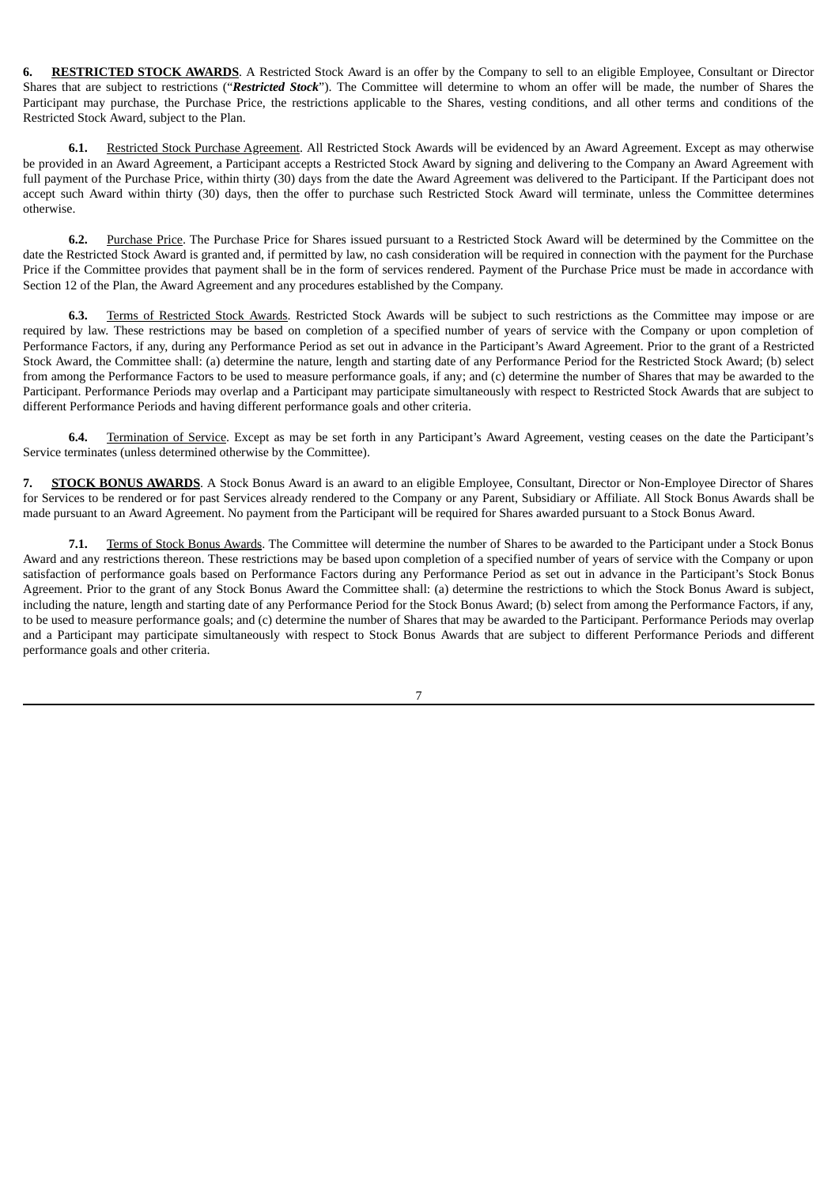**6. RESTRICTED STOCK AWARDS**. A Restricted Stock Award is an offer by the Company to sell to an eligible Employee, Consultant or Director Shares that are subject to restrictions ("*Restricted Stock*"). The Committee will determine to whom an offer will be made, the number of Shares the Participant may purchase, the Purchase Price, the restrictions applicable to the Shares, vesting conditions, and all other terms and conditions of the Restricted Stock Award, subject to the Plan.

**6.1.** Restricted Stock Purchase Agreement. All Restricted Stock Awards will be evidenced by an Award Agreement. Except as may otherwise be provided in an Award Agreement, a Participant accepts a Restricted Stock Award by signing and delivering to the Company an Award Agreement with full payment of the Purchase Price, within thirty (30) days from the date the Award Agreement was delivered to the Participant. If the Participant does not accept such Award within thirty (30) days, then the offer to purchase such Restricted Stock Award will terminate, unless the Committee determines otherwise.

**6.2.** Purchase Price. The Purchase Price for Shares issued pursuant to a Restricted Stock Award will be determined by the Committee on the date the Restricted Stock Award is granted and, if permitted by law, no cash consideration will be required in connection with the payment for the Purchase Price if the Committee provides that payment shall be in the form of services rendered. Payment of the Purchase Price must be made in accordance with Section 12 of the Plan, the Award Agreement and any procedures established by the Company.

Terms of Restricted Stock Awards. Restricted Stock Awards will be subject to such restrictions as the Committee may impose or are required by law. These restrictions may be based on completion of a specified number of years of service with the Company or upon completion of Performance Factors, if any, during any Performance Period as set out in advance in the Participant's Award Agreement. Prior to the grant of a Restricted Stock Award, the Committee shall: (a) determine the nature, length and starting date of any Performance Period for the Restricted Stock Award; (b) select from among the Performance Factors to be used to measure performance goals, if any; and (c) determine the number of Shares that may be awarded to the Participant. Performance Periods may overlap and a Participant may participate simultaneously with respect to Restricted Stock Awards that are subject to different Performance Periods and having different performance goals and other criteria.

**6.4.** Termination of Service. Except as may be set forth in any Participant's Award Agreement, vesting ceases on the date the Participant's Service terminates (unless determined otherwise by the Committee).

**7. STOCK BONUS AWARDS**. A Stock Bonus Award is an award to an eligible Employee, Consultant, Director or Non-Employee Director of Shares for Services to be rendered or for past Services already rendered to the Company or any Parent, Subsidiary or Affiliate. All Stock Bonus Awards shall be made pursuant to an Award Agreement. No payment from the Participant will be required for Shares awarded pursuant to a Stock Bonus Award.

**7.1.** Terms of Stock Bonus Awards. The Committee will determine the number of Shares to be awarded to the Participant under a Stock Bonus Award and any restrictions thereon. These restrictions may be based upon completion of a specified number of years of service with the Company or upon satisfaction of performance goals based on Performance Factors during any Performance Period as set out in advance in the Participant's Stock Bonus Agreement. Prior to the grant of any Stock Bonus Award the Committee shall: (a) determine the restrictions to which the Stock Bonus Award is subject, including the nature, length and starting date of any Performance Period for the Stock Bonus Award; (b) select from among the Performance Factors, if any, to be used to measure performance goals; and (c) determine the number of Shares that may be awarded to the Participant. Performance Periods may overlap and a Participant may participate simultaneously with respect to Stock Bonus Awards that are subject to different Performance Periods and different performance goals and other criteria.

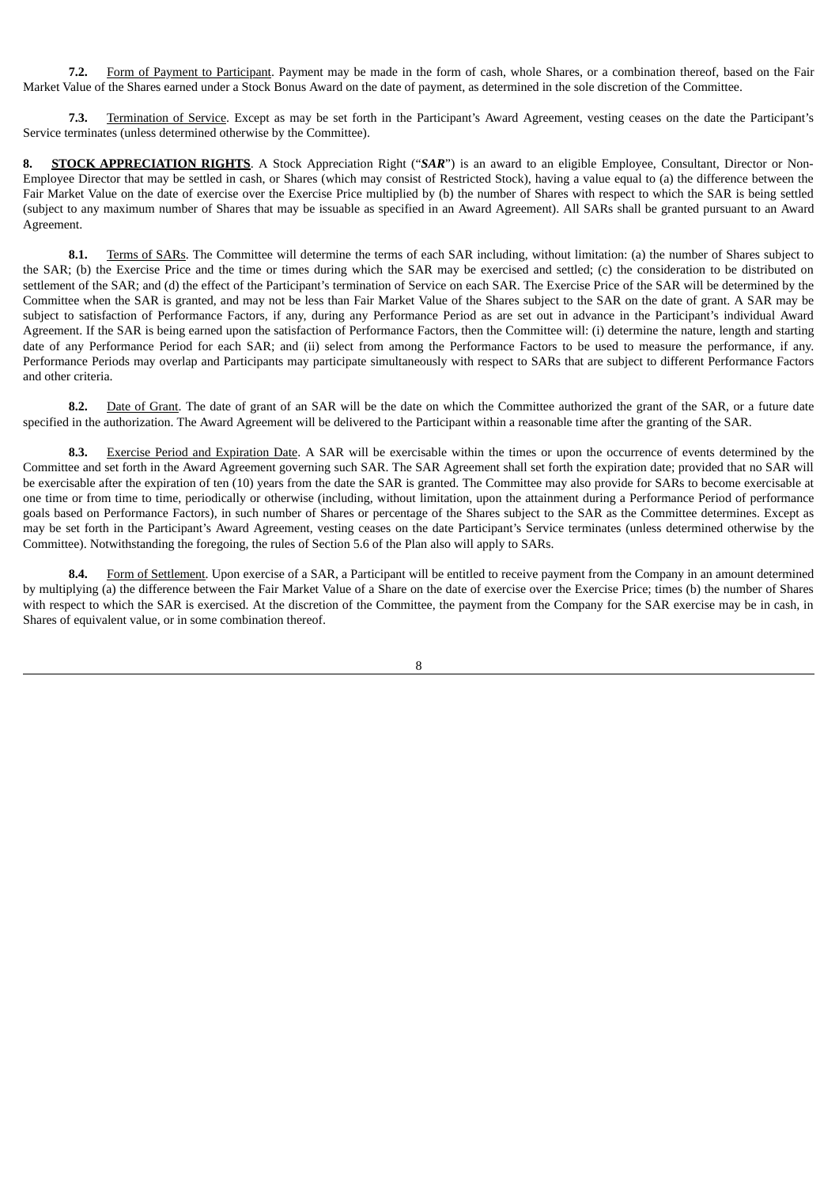**7.2.** Form of Payment to Participant. Payment may be made in the form of cash, whole Shares, or a combination thereof, based on the Fair Market Value of the Shares earned under a Stock Bonus Award on the date of payment, as determined in the sole discretion of the Committee.

**7.3.** Termination of Service. Except as may be set forth in the Participant's Award Agreement, vesting ceases on the date the Participant's Service terminates (unless determined otherwise by the Committee).

**8. STOCK APPRECIATION RIGHTS**. A Stock Appreciation Right ("*SAR*") is an award to an eligible Employee, Consultant, Director or Non-Employee Director that may be settled in cash, or Shares (which may consist of Restricted Stock), having a value equal to (a) the difference between the Fair Market Value on the date of exercise over the Exercise Price multiplied by (b) the number of Shares with respect to which the SAR is being settled (subject to any maximum number of Shares that may be issuable as specified in an Award Agreement). All SARs shall be granted pursuant to an Award Agreement.

**8.1.** Terms of SARs. The Committee will determine the terms of each SAR including, without limitation: (a) the number of Shares subject to the SAR; (b) the Exercise Price and the time or times during which the SAR may be exercised and settled; (c) the consideration to be distributed on settlement of the SAR; and (d) the effect of the Participant's termination of Service on each SAR. The Exercise Price of the SAR will be determined by the Committee when the SAR is granted, and may not be less than Fair Market Value of the Shares subject to the SAR on the date of grant. A SAR may be subject to satisfaction of Performance Factors, if any, during any Performance Period as are set out in advance in the Participant's individual Award Agreement. If the SAR is being earned upon the satisfaction of Performance Factors, then the Committee will: (i) determine the nature, length and starting date of any Performance Period for each SAR; and (ii) select from among the Performance Factors to be used to measure the performance, if any. Performance Periods may overlap and Participants may participate simultaneously with respect to SARs that are subject to different Performance Factors and other criteria.

**8.2.** Date of Grant. The date of grant of an SAR will be the date on which the Committee authorized the grant of the SAR, or a future date specified in the authorization. The Award Agreement will be delivered to the Participant within a reasonable time after the granting of the SAR.

**8.3.** Exercise Period and Expiration Date. A SAR will be exercisable within the times or upon the occurrence of events determined by the Committee and set forth in the Award Agreement governing such SAR. The SAR Agreement shall set forth the expiration date; provided that no SAR will be exercisable after the expiration of ten (10) years from the date the SAR is granted. The Committee may also provide for SARs to become exercisable at one time or from time to time, periodically or otherwise (including, without limitation, upon the attainment during a Performance Period of performance goals based on Performance Factors), in such number of Shares or percentage of the Shares subject to the SAR as the Committee determines. Except as may be set forth in the Participant's Award Agreement, vesting ceases on the date Participant's Service terminates (unless determined otherwise by the Committee). Notwithstanding the foregoing, the rules of Section 5.6 of the Plan also will apply to SARs.

**8.4.** Form of Settlement. Upon exercise of a SAR, a Participant will be entitled to receive payment from the Company in an amount determined by multiplying (a) the difference between the Fair Market Value of a Share on the date of exercise over the Exercise Price; times (b) the number of Shares with respect to which the SAR is exercised. At the discretion of the Committee, the payment from the Company for the SAR exercise may be in cash, in Shares of equivalent value, or in some combination thereof.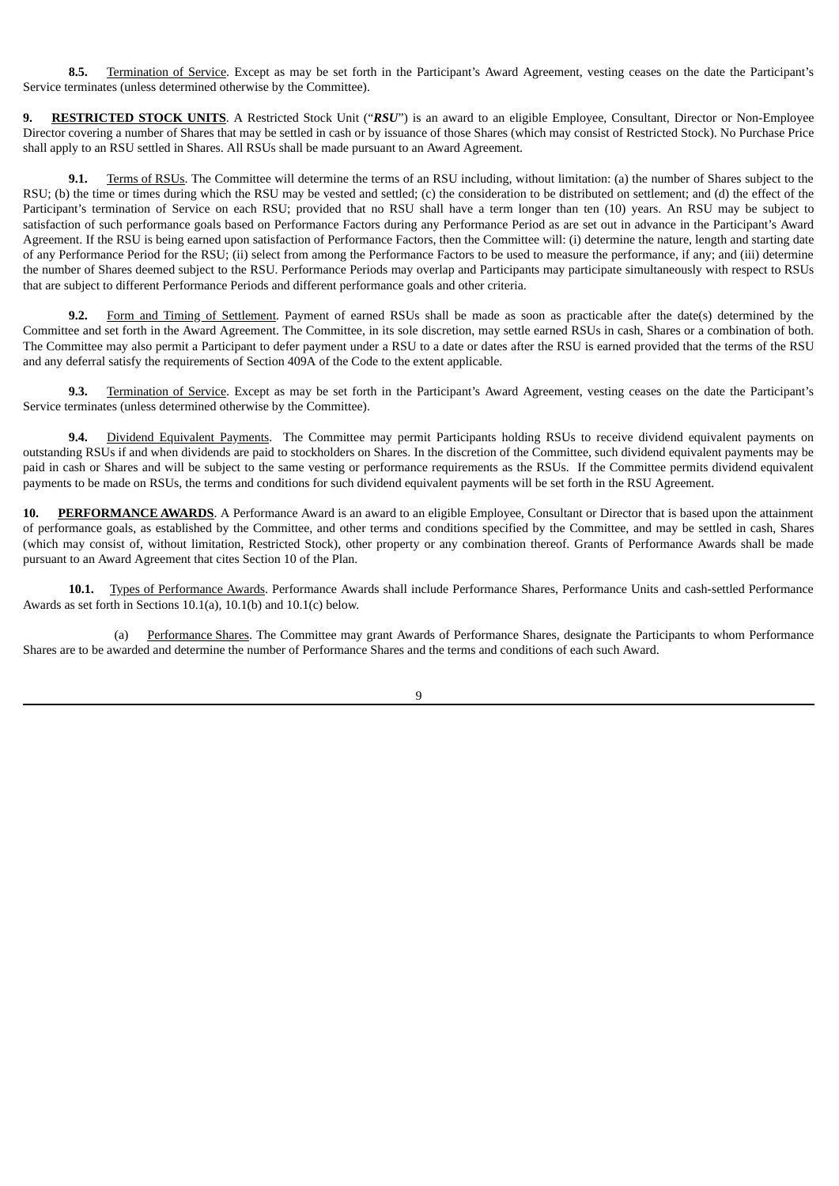**8.5.** Termination of Service. Except as may be set forth in the Participant's Award Agreement, vesting ceases on the date the Participant's Service terminates (unless determined otherwise by the Committee).

**9. RESTRICTED STOCK UNITS**. A Restricted Stock Unit ("*RSU*") is an award to an eligible Employee, Consultant, Director or Non-Employee Director covering a number of Shares that may be settled in cash or by issuance of those Shares (which may consist of Restricted Stock). No Purchase Price shall apply to an RSU settled in Shares. All RSUs shall be made pursuant to an Award Agreement.

**9.1.** Terms of RSUs. The Committee will determine the terms of an RSU including, without limitation: (a) the number of Shares subject to the RSU; (b) the time or times during which the RSU may be vested and settled; (c) the consideration to be distributed on settlement; and (d) the effect of the Participant's termination of Service on each RSU; provided that no RSU shall have a term longer than ten (10) years. An RSU may be subject to satisfaction of such performance goals based on Performance Factors during any Performance Period as are set out in advance in the Participant's Award Agreement. If the RSU is being earned upon satisfaction of Performance Factors, then the Committee will: (i) determine the nature, length and starting date of any Performance Period for the RSU; (ii) select from among the Performance Factors to be used to measure the performance, if any; and (iii) determine the number of Shares deemed subject to the RSU. Performance Periods may overlap and Participants may participate simultaneously with respect to RSUs that are subject to different Performance Periods and different performance goals and other criteria.

Form and Timing of Settlement. Payment of earned RSUs shall be made as soon as practicable after the date(s) determined by the Committee and set forth in the Award Agreement. The Committee, in its sole discretion, may settle earned RSUs in cash, Shares or a combination of both. The Committee may also permit a Participant to defer payment under a RSU to a date or dates after the RSU is earned provided that the terms of the RSU and any deferral satisfy the requirements of Section 409A of the Code to the extent applicable.

**9.3.** Termination of Service. Except as may be set forth in the Participant's Award Agreement, vesting ceases on the date the Participant's Service terminates (unless determined otherwise by the Committee).

**9.4.** Dividend Equivalent Payments. The Committee may permit Participants holding RSUs to receive dividend equivalent payments on outstanding RSUs if and when dividends are paid to stockholders on Shares. In the discretion of the Committee, such dividend equivalent payments may be paid in cash or Shares and will be subject to the same vesting or performance requirements as the RSUs. If the Committee permits dividend equivalent payments to be made on RSUs, the terms and conditions for such dividend equivalent payments will be set forth in the RSU Agreement.

**10. PERFORMANCE AWARDS**. A Performance Award is an award to an eligible Employee, Consultant or Director that is based upon the attainment of performance goals, as established by the Committee, and other terms and conditions specified by the Committee, and may be settled in cash, Shares (which may consist of, without limitation, Restricted Stock), other property or any combination thereof. Grants of Performance Awards shall be made pursuant to an Award Agreement that cites Section 10 of the Plan.

**10.1.** Types of Performance Awards. Performance Awards shall include Performance Shares, Performance Units and cash-settled Performance Awards as set forth in Sections 10.1(a), 10.1(b) and 10.1(c) below.

(a) Performance Shares. The Committee may grant Awards of Performance Shares, designate the Participants to whom Performance Shares are to be awarded and determine the number of Performance Shares and the terms and conditions of each such Award.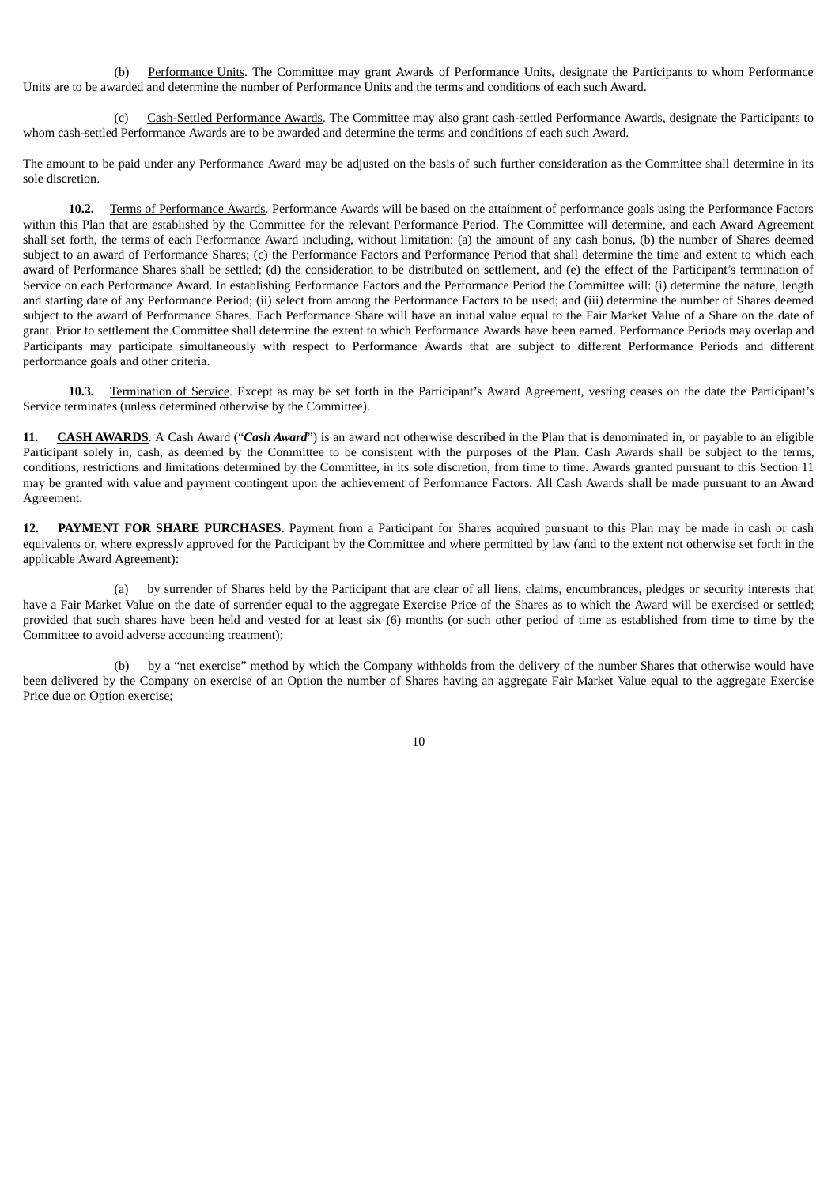(b) Performance Units. The Committee may grant Awards of Performance Units, designate the Participants to whom Performance Units are to be awarded and determine the number of Performance Units and the terms and conditions of each such Award.

(c) Cash-Settled Performance Awards. The Committee may also grant cash-settled Performance Awards, designate the Participants to whom cash-settled Performance Awards are to be awarded and determine the terms and conditions of each such Award.

The amount to be paid under any Performance Award may be adjusted on the basis of such further consideration as the Committee shall determine in its sole discretion.

**10.2.** Terms of Performance Awards. Performance Awards will be based on the attainment of performance goals using the Performance Factors within this Plan that are established by the Committee for the relevant Performance Period. The Committee will determine, and each Award Agreement shall set forth, the terms of each Performance Award including, without limitation: (a) the amount of any cash bonus, (b) the number of Shares deemed subject to an award of Performance Shares; (c) the Performance Factors and Performance Period that shall determine the time and extent to which each award of Performance Shares shall be settled; (d) the consideration to be distributed on settlement, and (e) the effect of the Participant's termination of Service on each Performance Award. In establishing Performance Factors and the Performance Period the Committee will: (i) determine the nature, length and starting date of any Performance Period; (ii) select from among the Performance Factors to be used; and (iii) determine the number of Shares deemed subject to the award of Performance Shares. Each Performance Share will have an initial value equal to the Fair Market Value of a Share on the date of grant. Prior to settlement the Committee shall determine the extent to which Performance Awards have been earned. Performance Periods may overlap and Participants may participate simultaneously with respect to Performance Awards that are subject to different Performance Periods and different performance goals and other criteria.

**10.3.** Termination of Service. Except as may be set forth in the Participant's Award Agreement, vesting ceases on the date the Participant's Service terminates (unless determined otherwise by the Committee).

**11. CASH AWARDS**. A Cash Award ("*Cash Award*") is an award not otherwise described in the Plan that is denominated in, or payable to an eligible Participant solely in, cash, as deemed by the Committee to be consistent with the purposes of the Plan. Cash Awards shall be subject to the terms, conditions, restrictions and limitations determined by the Committee, in its sole discretion, from time to time. Awards granted pursuant to this Section 11 may be granted with value and payment contingent upon the achievement of Performance Factors. All Cash Awards shall be made pursuant to an Award Agreement.

**12. PAYMENT FOR SHARE PURCHASES**. Payment from a Participant for Shares acquired pursuant to this Plan may be made in cash or cash equivalents or, where expressly approved for the Participant by the Committee and where permitted by law (and to the extent not otherwise set forth in the applicable Award Agreement):

(a) by surrender of Shares held by the Participant that are clear of all liens, claims, encumbrances, pledges or security interests that have a Fair Market Value on the date of surrender equal to the aggregate Exercise Price of the Shares as to which the Award will be exercised or settled; provided that such shares have been held and vested for at least six (6) months (or such other period of time as established from time to time by the Committee to avoid adverse accounting treatment);

(b) by a "net exercise" method by which the Company withholds from the delivery of the number Shares that otherwise would have been delivered by the Company on exercise of an Option the number of Shares having an aggregate Fair Market Value equal to the aggregate Exercise Price due on Option exercise;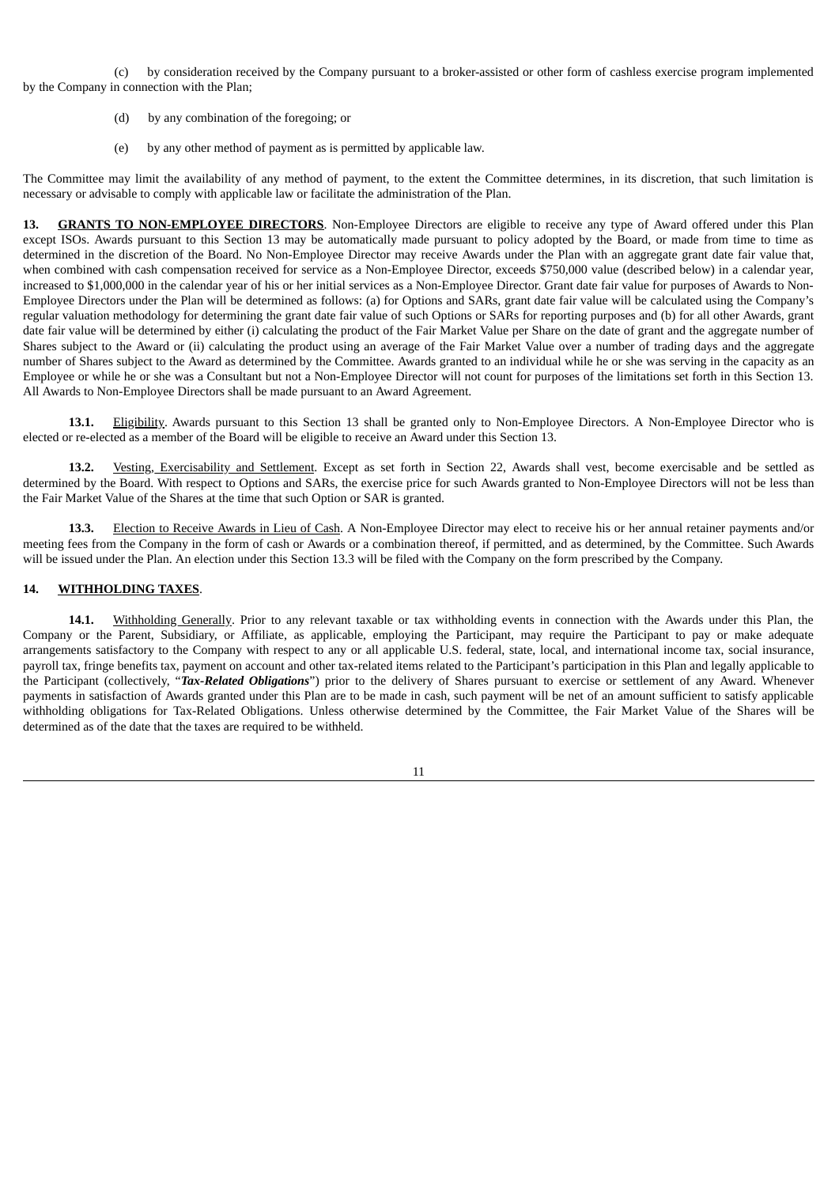(c) by consideration received by the Company pursuant to a broker-assisted or other form of cashless exercise program implemented by the Company in connection with the Plan;

- (d) by any combination of the foregoing; or
- (e) by any other method of payment as is permitted by applicable law.

The Committee may limit the availability of any method of payment, to the extent the Committee determines, in its discretion, that such limitation is necessary or advisable to comply with applicable law or facilitate the administration of the Plan.

**13. GRANTS TO NON-EMPLOYEE DIRECTORS**. Non-Employee Directors are eligible to receive any type of Award offered under this Plan except ISOs. Awards pursuant to this Section 13 may be automatically made pursuant to policy adopted by the Board, or made from time to time as determined in the discretion of the Board. No Non-Employee Director may receive Awards under the Plan with an aggregate grant date fair value that, when combined with cash compensation received for service as a Non-Employee Director, exceeds \$750,000 value (described below) in a calendar year, increased to \$1,000,000 in the calendar year of his or her initial services as a Non-Employee Director. Grant date fair value for purposes of Awards to Non-Employee Directors under the Plan will be determined as follows: (a) for Options and SARs, grant date fair value will be calculated using the Company's regular valuation methodology for determining the grant date fair value of such Options or SARs for reporting purposes and (b) for all other Awards, grant date fair value will be determined by either (i) calculating the product of the Fair Market Value per Share on the date of grant and the aggregate number of Shares subject to the Award or (ii) calculating the product using an average of the Fair Market Value over a number of trading days and the aggregate number of Shares subject to the Award as determined by the Committee. Awards granted to an individual while he or she was serving in the capacity as an Employee or while he or she was a Consultant but not a Non-Employee Director will not count for purposes of the limitations set forth in this Section 13. All Awards to Non-Employee Directors shall be made pursuant to an Award Agreement.

**13.1.** Eligibility. Awards pursuant to this Section 13 shall be granted only to Non-Employee Directors. A Non-Employee Director who is elected or re-elected as a member of the Board will be eligible to receive an Award under this Section 13.

**13.2.** Vesting, Exercisability and Settlement. Except as set forth in Section 22, Awards shall vest, become exercisable and be settled as determined by the Board. With respect to Options and SARs, the exercise price for such Awards granted to Non-Employee Directors will not be less than the Fair Market Value of the Shares at the time that such Option or SAR is granted.

**13.3.** Election to Receive Awards in Lieu of Cash. A Non-Employee Director may elect to receive his or her annual retainer payments and/or meeting fees from the Company in the form of cash or Awards or a combination thereof, if permitted, and as determined, by the Committee. Such Awards will be issued under the Plan. An election under this Section 13.3 will be filed with the Company on the form prescribed by the Company.

### **14. WITHHOLDING TAXES**.

**14.1.** Withholding Generally. Prior to any relevant taxable or tax withholding events in connection with the Awards under this Plan, the Company or the Parent, Subsidiary, or Affiliate, as applicable, employing the Participant, may require the Participant to pay or make adequate arrangements satisfactory to the Company with respect to any or all applicable U.S. federal, state, local, and international income tax, social insurance, payroll tax, fringe benefits tax, payment on account and other tax-related items related to the Participant's participation in this Plan and legally applicable to the Participant (collectively, "*Tax-Related Obligations*") prior to the delivery of Shares pursuant to exercise or settlement of any Award. Whenever payments in satisfaction of Awards granted under this Plan are to be made in cash, such payment will be net of an amount sufficient to satisfy applicable withholding obligations for Tax-Related Obligations. Unless otherwise determined by the Committee, the Fair Market Value of the Shares will be determined as of the date that the taxes are required to be withheld.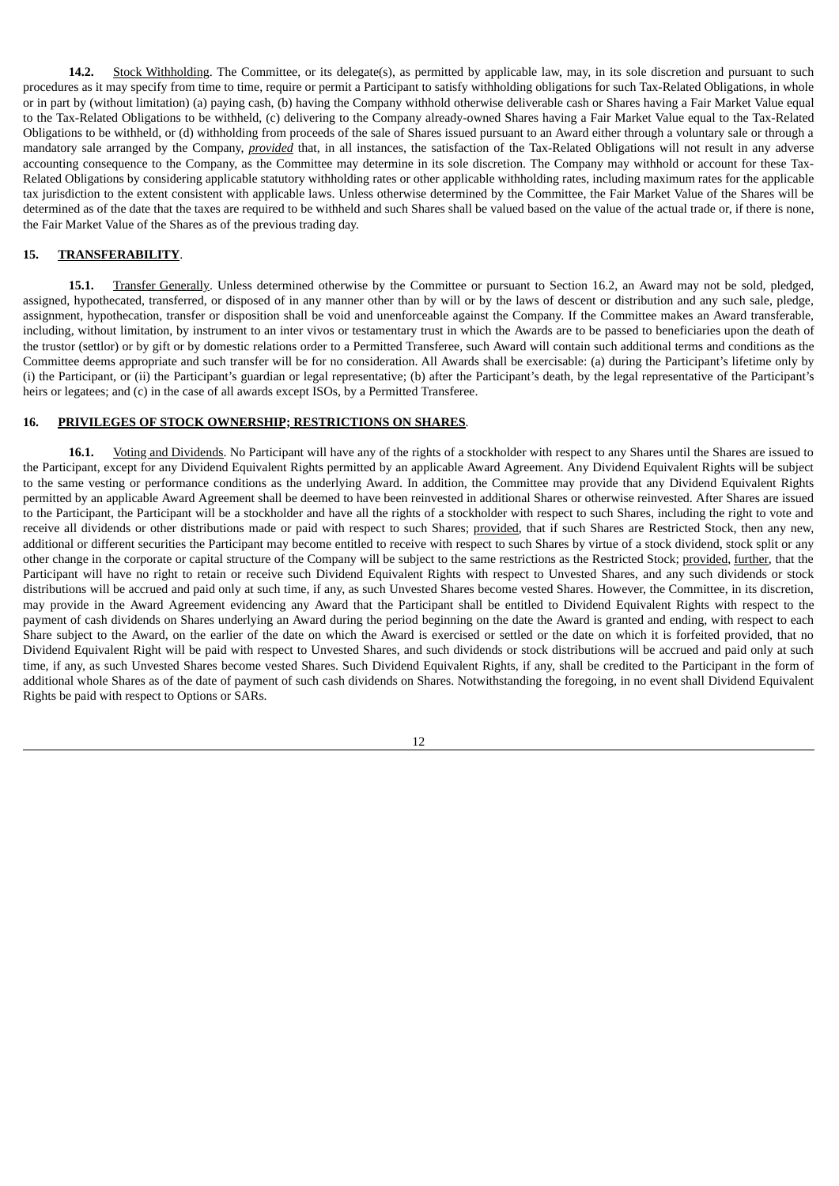**14.2.** Stock Withholding. The Committee, or its delegate(s), as permitted by applicable law, may, in its sole discretion and pursuant to such procedures as it may specify from time to time, require or permit a Participant to satisfy withholding obligations for such Tax-Related Obligations, in whole or in part by (without limitation) (a) paying cash, (b) having the Company withhold otherwise deliverable cash or Shares having a Fair Market Value equal to the Tax-Related Obligations to be withheld, (c) delivering to the Company already-owned Shares having a Fair Market Value equal to the Tax-Related Obligations to be withheld, or (d) withholding from proceeds of the sale of Shares issued pursuant to an Award either through a voluntary sale or through a mandatory sale arranged by the Company, *provided* that, in all instances, the satisfaction of the Tax-Related Obligations will not result in any adverse accounting consequence to the Company, as the Committee may determine in its sole discretion. The Company may withhold or account for these Tax-Related Obligations by considering applicable statutory withholding rates or other applicable withholding rates, including maximum rates for the applicable tax jurisdiction to the extent consistent with applicable laws. Unless otherwise determined by the Committee, the Fair Market Value of the Shares will be determined as of the date that the taxes are required to be withheld and such Shares shall be valued based on the value of the actual trade or, if there is none, the Fair Market Value of the Shares as of the previous trading day.

### **15. TRANSFERABILITY**.

**15.1.** Transfer Generally. Unless determined otherwise by the Committee or pursuant to Section 16.2, an Award may not be sold, pledged, assigned, hypothecated, transferred, or disposed of in any manner other than by will or by the laws of descent or distribution and any such sale, pledge, assignment, hypothecation, transfer or disposition shall be void and unenforceable against the Company. If the Committee makes an Award transferable, including, without limitation, by instrument to an inter vivos or testamentary trust in which the Awards are to be passed to beneficiaries upon the death of the trustor (settlor) or by gift or by domestic relations order to a Permitted Transferee, such Award will contain such additional terms and conditions as the Committee deems appropriate and such transfer will be for no consideration. All Awards shall be exercisable: (a) during the Participant's lifetime only by (i) the Participant, or (ii) the Participant's guardian or legal representative; (b) after the Participant's death, by the legal representative of the Participant's heirs or legatees; and (c) in the case of all awards except ISOs, by a Permitted Transferee.

#### **16. PRIVILEGES OF STOCK OWNERSHIP; RESTRICTIONS ON SHARES**.

**16.1.** Voting and Dividends. No Participant will have any of the rights of a stockholder with respect to any Shares until the Shares are issued to the Participant, except for any Dividend Equivalent Rights permitted by an applicable Award Agreement. Any Dividend Equivalent Rights will be subject to the same vesting or performance conditions as the underlying Award. In addition, the Committee may provide that any Dividend Equivalent Rights permitted by an applicable Award Agreement shall be deemed to have been reinvested in additional Shares or otherwise reinvested. After Shares are issued to the Participant, the Participant will be a stockholder and have all the rights of a stockholder with respect to such Shares, including the right to vote and receive all dividends or other distributions made or paid with respect to such Shares; provided, that if such Shares are Restricted Stock, then any new, additional or different securities the Participant may become entitled to receive with respect to such Shares by virtue of a stock dividend, stock split or any other change in the corporate or capital structure of the Company will be subject to the same restrictions as the Restricted Stock; provided, further, that the Participant will have no right to retain or receive such Dividend Equivalent Rights with respect to Unvested Shares, and any such dividends or stock distributions will be accrued and paid only at such time, if any, as such Unvested Shares become vested Shares. However, the Committee, in its discretion, may provide in the Award Agreement evidencing any Award that the Participant shall be entitled to Dividend Equivalent Rights with respect to the payment of cash dividends on Shares underlying an Award during the period beginning on the date the Award is granted and ending, with respect to each Share subject to the Award, on the earlier of the date on which the Award is exercised or settled or the date on which it is forfeited provided, that no Dividend Equivalent Right will be paid with respect to Unvested Shares, and such dividends or stock distributions will be accrued and paid only at such time, if any, as such Unvested Shares become vested Shares. Such Dividend Equivalent Rights, if any, shall be credited to the Participant in the form of additional whole Shares as of the date of payment of such cash dividends on Shares. Notwithstanding the foregoing, in no event shall Dividend Equivalent Rights be paid with respect to Options or SARs.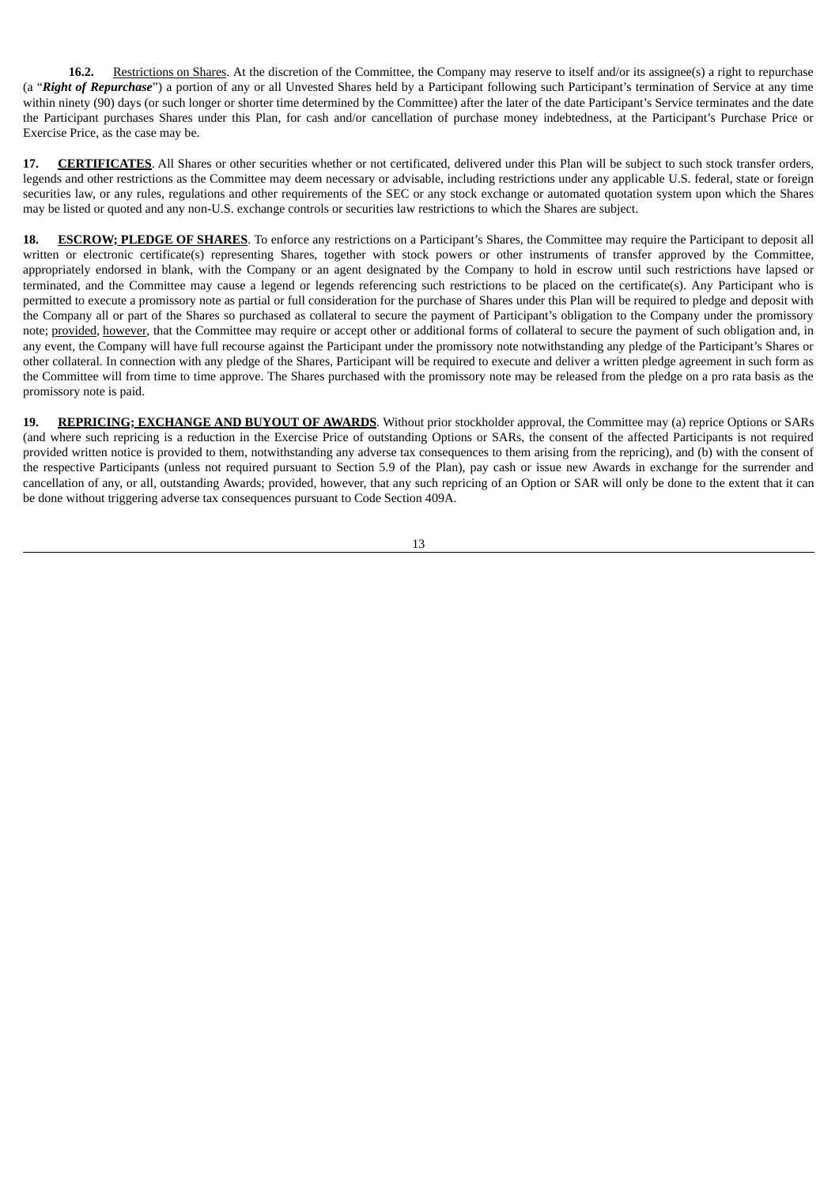**16.2.** Restrictions on Shares. At the discretion of the Committee, the Company may reserve to itself and/or its assignee(s) a right to repurchase (a "*Right of Repurchase*") a portion of any or all Unvested Shares held by a Participant following such Participant's termination of Service at any time within ninety (90) days (or such longer or shorter time determined by the Committee) after the later of the date Participant's Service terminates and the date the Participant purchases Shares under this Plan, for cash and/or cancellation of purchase money indebtedness, at the Participant's Purchase Price or Exercise Price, as the case may be.

**17. CERTIFICATES**. All Shares or other securities whether or not certificated, delivered under this Plan will be subject to such stock transfer orders, legends and other restrictions as the Committee may deem necessary or advisable, including restrictions under any applicable U.S. federal, state or foreign securities law, or any rules, regulations and other requirements of the SEC or any stock exchange or automated quotation system upon which the Shares may be listed or quoted and any non-U.S. exchange controls or securities law restrictions to which the Shares are subject.

**18. ESCROW; PLEDGE OF SHARES**. To enforce any restrictions on a Participant's Shares, the Committee may require the Participant to deposit all written or electronic certificate(s) representing Shares, together with stock powers or other instruments of transfer approved by the Committee, appropriately endorsed in blank, with the Company or an agent designated by the Company to hold in escrow until such restrictions have lapsed or terminated, and the Committee may cause a legend or legends referencing such restrictions to be placed on the certificate(s). Any Participant who is permitted to execute a promissory note as partial or full consideration for the purchase of Shares under this Plan will be required to pledge and deposit with the Company all or part of the Shares so purchased as collateral to secure the payment of Participant's obligation to the Company under the promissory note; provided, however, that the Committee may require or accept other or additional forms of collateral to secure the payment of such obligation and, in any event, the Company will have full recourse against the Participant under the promissory note notwithstanding any pledge of the Participant's Shares or other collateral. In connection with any pledge of the Shares, Participant will be required to execute and deliver a written pledge agreement in such form as the Committee will from time to time approve. The Shares purchased with the promissory note may be released from the pledge on a pro rata basis as the promissory note is paid.

**19. REPRICING; EXCHANGE AND BUYOUT OF AWARDS**. Without prior stockholder approval, the Committee may (a) reprice Options or SARs (and where such repricing is a reduction in the Exercise Price of outstanding Options or SARs, the consent of the affected Participants is not required provided written notice is provided to them, notwithstanding any adverse tax consequences to them arising from the repricing), and (b) with the consent of the respective Participants (unless not required pursuant to Section 5.9 of the Plan), pay cash or issue new Awards in exchange for the surrender and cancellation of any, or all, outstanding Awards; provided, however, that any such repricing of an Option or SAR will only be done to the extent that it can be done without triggering adverse tax consequences pursuant to Code Section 409A.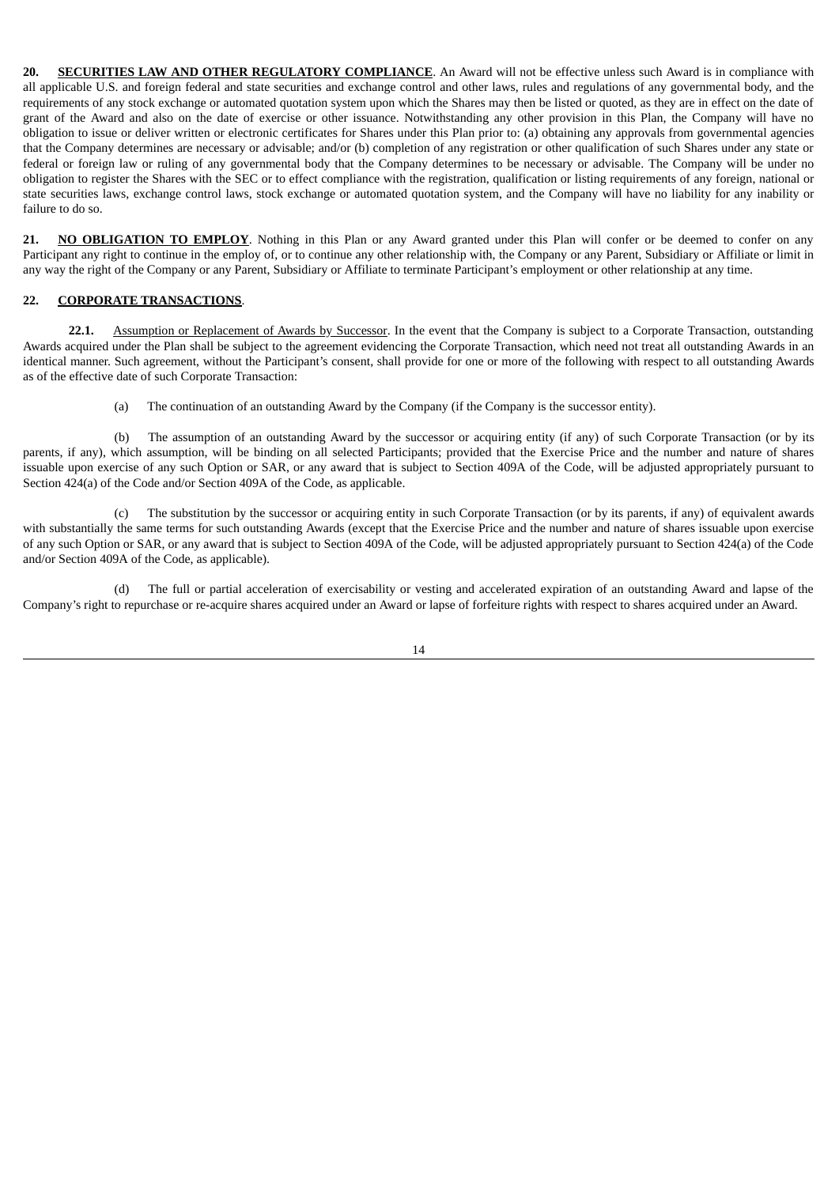**20. SECURITIES LAW AND OTHER REGULATORY COMPLIANCE**. An Award will not be effective unless such Award is in compliance with all applicable U.S. and foreign federal and state securities and exchange control and other laws, rules and regulations of any governmental body, and the requirements of any stock exchange or automated quotation system upon which the Shares may then be listed or quoted, as they are in effect on the date of grant of the Award and also on the date of exercise or other issuance. Notwithstanding any other provision in this Plan, the Company will have no obligation to issue or deliver written or electronic certificates for Shares under this Plan prior to: (a) obtaining any approvals from governmental agencies that the Company determines are necessary or advisable; and/or (b) completion of any registration or other qualification of such Shares under any state or federal or foreign law or ruling of any governmental body that the Company determines to be necessary or advisable. The Company will be under no obligation to register the Shares with the SEC or to effect compliance with the registration, qualification or listing requirements of any foreign, national or state securities laws, exchange control laws, stock exchange or automated quotation system, and the Company will have no liability for any inability or failure to do so.

21. **NO OBLIGATION TO EMPLOY**. Nothing in this Plan or any Award granted under this Plan will confer or be deemed to confer on any Participant any right to continue in the employ of, or to continue any other relationship with, the Company or any Parent, Subsidiary or Affiliate or limit in any way the right of the Company or any Parent, Subsidiary or Affiliate to terminate Participant's employment or other relationship at any time.

### **22. CORPORATE TRANSACTIONS**.

**22.1.** Assumption or Replacement of Awards by Successor. In the event that the Company is subject to a Corporate Transaction, outstanding Awards acquired under the Plan shall be subject to the agreement evidencing the Corporate Transaction, which need not treat all outstanding Awards in an identical manner. Such agreement, without the Participant's consent, shall provide for one or more of the following with respect to all outstanding Awards as of the effective date of such Corporate Transaction:

(a) The continuation of an outstanding Award by the Company (if the Company is the successor entity).

(b) The assumption of an outstanding Award by the successor or acquiring entity (if any) of such Corporate Transaction (or by its parents, if any), which assumption, will be binding on all selected Participants; provided that the Exercise Price and the number and nature of shares issuable upon exercise of any such Option or SAR, or any award that is subject to Section 409A of the Code, will be adjusted appropriately pursuant to Section 424(a) of the Code and/or Section 409A of the Code, as applicable.

(c) The substitution by the successor or acquiring entity in such Corporate Transaction (or by its parents, if any) of equivalent awards with substantially the same terms for such outstanding Awards (except that the Exercise Price and the number and nature of shares issuable upon exercise of any such Option or SAR, or any award that is subject to Section 409A of the Code, will be adjusted appropriately pursuant to Section 424(a) of the Code and/or Section 409A of the Code, as applicable).

(d) The full or partial acceleration of exercisability or vesting and accelerated expiration of an outstanding Award and lapse of the Company's right to repurchase or re-acquire shares acquired under an Award or lapse of forfeiture rights with respect to shares acquired under an Award.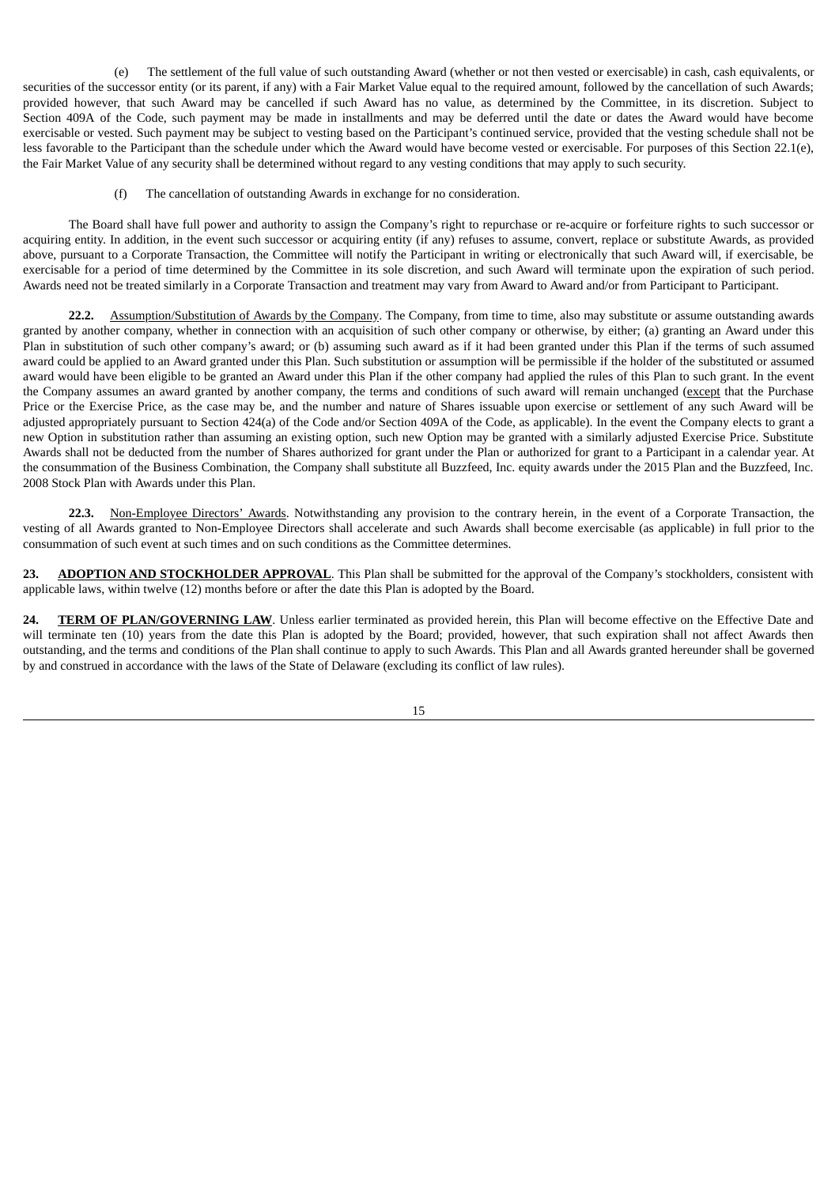(e) The settlement of the full value of such outstanding Award (whether or not then vested or exercisable) in cash, cash equivalents, or securities of the successor entity (or its parent, if any) with a Fair Market Value equal to the required amount, followed by the cancellation of such Awards; provided however, that such Award may be cancelled if such Award has no value, as determined by the Committee, in its discretion. Subject to Section 409A of the Code, such payment may be made in installments and may be deferred until the date or dates the Award would have become exercisable or vested. Such payment may be subject to vesting based on the Participant's continued service, provided that the vesting schedule shall not be less favorable to the Participant than the schedule under which the Award would have become vested or exercisable. For purposes of this Section 22.1(e), the Fair Market Value of any security shall be determined without regard to any vesting conditions that may apply to such security.

(f) The cancellation of outstanding Awards in exchange for no consideration.

The Board shall have full power and authority to assign the Company's right to repurchase or re-acquire or forfeiture rights to such successor or acquiring entity. In addition, in the event such successor or acquiring entity (if any) refuses to assume, convert, replace or substitute Awards, as provided above, pursuant to a Corporate Transaction, the Committee will notify the Participant in writing or electronically that such Award will, if exercisable, be exercisable for a period of time determined by the Committee in its sole discretion, and such Award will terminate upon the expiration of such period. Awards need not be treated similarly in a Corporate Transaction and treatment may vary from Award to Award and/or from Participant to Participant.

**22.2.** Assumption/Substitution of Awards by the Company. The Company, from time to time, also may substitute or assume outstanding awards granted by another company, whether in connection with an acquisition of such other company or otherwise, by either; (a) granting an Award under this Plan in substitution of such other company's award; or (b) assuming such award as if it had been granted under this Plan if the terms of such assumed award could be applied to an Award granted under this Plan. Such substitution or assumption will be permissible if the holder of the substituted or assumed award would have been eligible to be granted an Award under this Plan if the other company had applied the rules of this Plan to such grant. In the event the Company assumes an award granted by another company, the terms and conditions of such award will remain unchanged (except that the Purchase Price or the Exercise Price, as the case may be, and the number and nature of Shares issuable upon exercise or settlement of any such Award will be adjusted appropriately pursuant to Section 424(a) of the Code and/or Section 409A of the Code, as applicable). In the event the Company elects to grant a new Option in substitution rather than assuming an existing option, such new Option may be granted with a similarly adjusted Exercise Price. Substitute Awards shall not be deducted from the number of Shares authorized for grant under the Plan or authorized for grant to a Participant in a calendar year. At the consummation of the Business Combination, the Company shall substitute all Buzzfeed, Inc. equity awards under the 2015 Plan and the Buzzfeed, Inc. 2008 Stock Plan with Awards under this Plan.

**22.3.** Non-Employee Directors' Awards. Notwithstanding any provision to the contrary herein, in the event of a Corporate Transaction, the vesting of all Awards granted to Non-Employee Directors shall accelerate and such Awards shall become exercisable (as applicable) in full prior to the consummation of such event at such times and on such conditions as the Committee determines.

**23. ADOPTION AND STOCKHOLDER APPROVAL**. This Plan shall be submitted for the approval of the Company's stockholders, consistent with applicable laws, within twelve (12) months before or after the date this Plan is adopted by the Board.

**24. TERM OF PLAN/GOVERNING LAW**. Unless earlier terminated as provided herein, this Plan will become effective on the Effective Date and will terminate ten (10) years from the date this Plan is adopted by the Board; provided, however, that such expiration shall not affect Awards then outstanding, and the terms and conditions of the Plan shall continue to apply to such Awards. This Plan and all Awards granted hereunder shall be governed by and construed in accordance with the laws of the State of Delaware (excluding its conflict of law rules).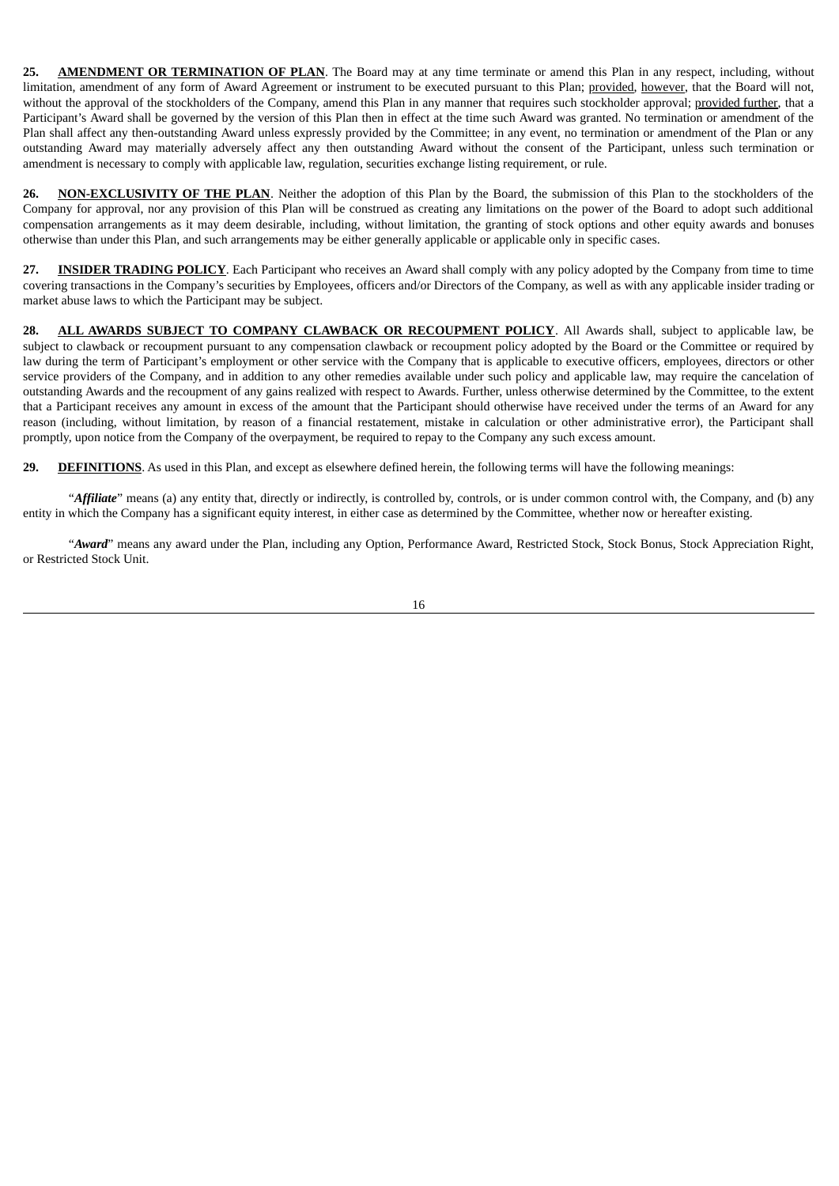**25. AMENDMENT OR TERMINATION OF PLAN**. The Board may at any time terminate or amend this Plan in any respect, including, without limitation, amendment of any form of Award Agreement or instrument to be executed pursuant to this Plan; provided, however, that the Board will not, without the approval of the stockholders of the Company, amend this Plan in any manner that requires such stockholder approval; provided further, that a Participant's Award shall be governed by the version of this Plan then in effect at the time such Award was granted. No termination or amendment of the Plan shall affect any then-outstanding Award unless expressly provided by the Committee; in any event, no termination or amendment of the Plan or any outstanding Award may materially adversely affect any then outstanding Award without the consent of the Participant, unless such termination or amendment is necessary to comply with applicable law, regulation, securities exchange listing requirement, or rule.

**26. NON-EXCLUSIVITY OF THE PLAN**. Neither the adoption of this Plan by the Board, the submission of this Plan to the stockholders of the Company for approval, nor any provision of this Plan will be construed as creating any limitations on the power of the Board to adopt such additional compensation arrangements as it may deem desirable, including, without limitation, the granting of stock options and other equity awards and bonuses otherwise than under this Plan, and such arrangements may be either generally applicable or applicable only in specific cases.

**27. INSIDER TRADING POLICY**. Each Participant who receives an Award shall comply with any policy adopted by the Company from time to time covering transactions in the Company's securities by Employees, officers and/or Directors of the Company, as well as with any applicable insider trading or market abuse laws to which the Participant may be subject.

**28. ALL AWARDS SUBJECT TO COMPANY CLAWBACK OR RECOUPMENT POLICY**. All Awards shall, subject to applicable law, be subject to clawback or recoupment pursuant to any compensation clawback or recoupment policy adopted by the Board or the Committee or required by law during the term of Participant's employment or other service with the Company that is applicable to executive officers, employees, directors or other service providers of the Company, and in addition to any other remedies available under such policy and applicable law, may require the cancelation of outstanding Awards and the recoupment of any gains realized with respect to Awards. Further, unless otherwise determined by the Committee, to the extent that a Participant receives any amount in excess of the amount that the Participant should otherwise have received under the terms of an Award for any reason (including, without limitation, by reason of a financial restatement, mistake in calculation or other administrative error), the Participant shall promptly, upon notice from the Company of the overpayment, be required to repay to the Company any such excess amount.

**29. DEFINITIONS**. As used in this Plan, and except as elsewhere defined herein, the following terms will have the following meanings:

"*Affiliate*" means (a) any entity that, directly or indirectly, is controlled by, controls, or is under common control with, the Company, and (b) any entity in which the Company has a significant equity interest, in either case as determined by the Committee, whether now or hereafter existing.

"*Award*" means any award under the Plan, including any Option, Performance Award, Restricted Stock, Stock Bonus, Stock Appreciation Right, or Restricted Stock Unit.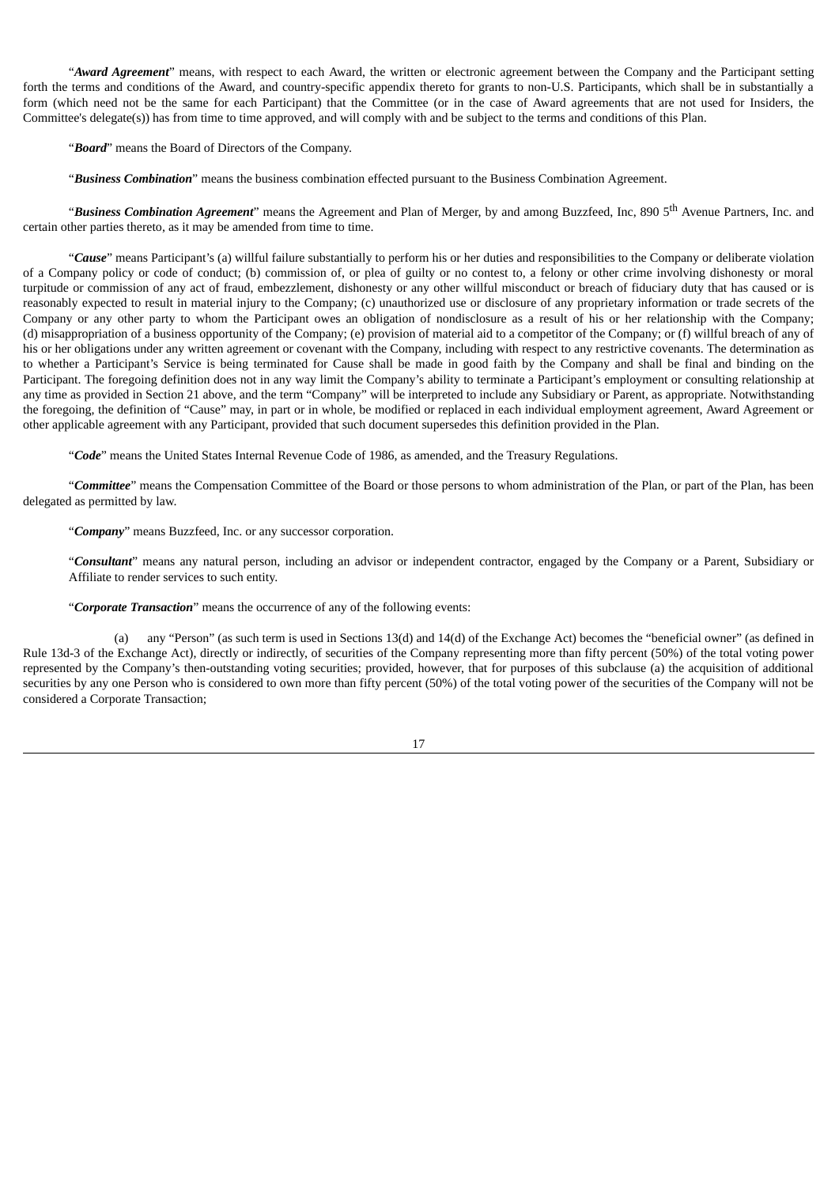"*Award Agreement*" means, with respect to each Award, the written or electronic agreement between the Company and the Participant setting forth the terms and conditions of the Award, and country-specific appendix thereto for grants to non-U.S. Participants, which shall be in substantially a form (which need not be the same for each Participant) that the Committee (or in the case of Award agreements that are not used for Insiders, the Committee's delegate(s)) has from time to time approved, and will comply with and be subject to the terms and conditions of this Plan.

"*Board*" means the Board of Directors of the Company.

"*Business Combination*" means the business combination effected pursuant to the Business Combination Agreement.

"*Business Combination Agreement*" means the Agreement and Plan of Merger, by and among Buzzfeed, Inc, 890 5 th Avenue Partners, Inc. and certain other parties thereto, as it may be amended from time to time.

"*Cause*" means Participant's (a) willful failure substantially to perform his or her duties and responsibilities to the Company or deliberate violation of a Company policy or code of conduct; (b) commission of, or plea of guilty or no contest to, a felony or other crime involving dishonesty or moral turpitude or commission of any act of fraud, embezzlement, dishonesty or any other willful misconduct or breach of fiduciary duty that has caused or is reasonably expected to result in material injury to the Company; (c) unauthorized use or disclosure of any proprietary information or trade secrets of the Company or any other party to whom the Participant owes an obligation of nondisclosure as a result of his or her relationship with the Company; (d) misappropriation of a business opportunity of the Company; (e) provision of material aid to a competitor of the Company; or (f) willful breach of any of his or her obligations under any written agreement or covenant with the Company, including with respect to any restrictive covenants. The determination as to whether a Participant's Service is being terminated for Cause shall be made in good faith by the Company and shall be final and binding on the Participant. The foregoing definition does not in any way limit the Company's ability to terminate a Participant's employment or consulting relationship at any time as provided in Section 21 above, and the term "Company" will be interpreted to include any Subsidiary or Parent, as appropriate. Notwithstanding the foregoing, the definition of "Cause" may, in part or in whole, be modified or replaced in each individual employment agreement, Award Agreement or other applicable agreement with any Participant, provided that such document supersedes this definition provided in the Plan.

"*Code*" means the United States Internal Revenue Code of 1986, as amended, and the Treasury Regulations.

"*Committee*" means the Compensation Committee of the Board or those persons to whom administration of the Plan, or part of the Plan, has been delegated as permitted by law.

"*Company*" means Buzzfeed, Inc. or any successor corporation.

"*Consultant*" means any natural person, including an advisor or independent contractor, engaged by the Company or a Parent, Subsidiary or Affiliate to render services to such entity.

"*Corporate Transaction*" means the occurrence of any of the following events:

(a) any "Person" (as such term is used in Sections 13(d) and 14(d) of the Exchange Act) becomes the "beneficial owner" (as defined in Rule 13d-3 of the Exchange Act), directly or indirectly, of securities of the Company representing more than fifty percent (50%) of the total voting power represented by the Company's then-outstanding voting securities; provided, however, that for purposes of this subclause (a) the acquisition of additional securities by any one Person who is considered to own more than fifty percent (50%) of the total voting power of the securities of the Company will not be considered a Corporate Transaction;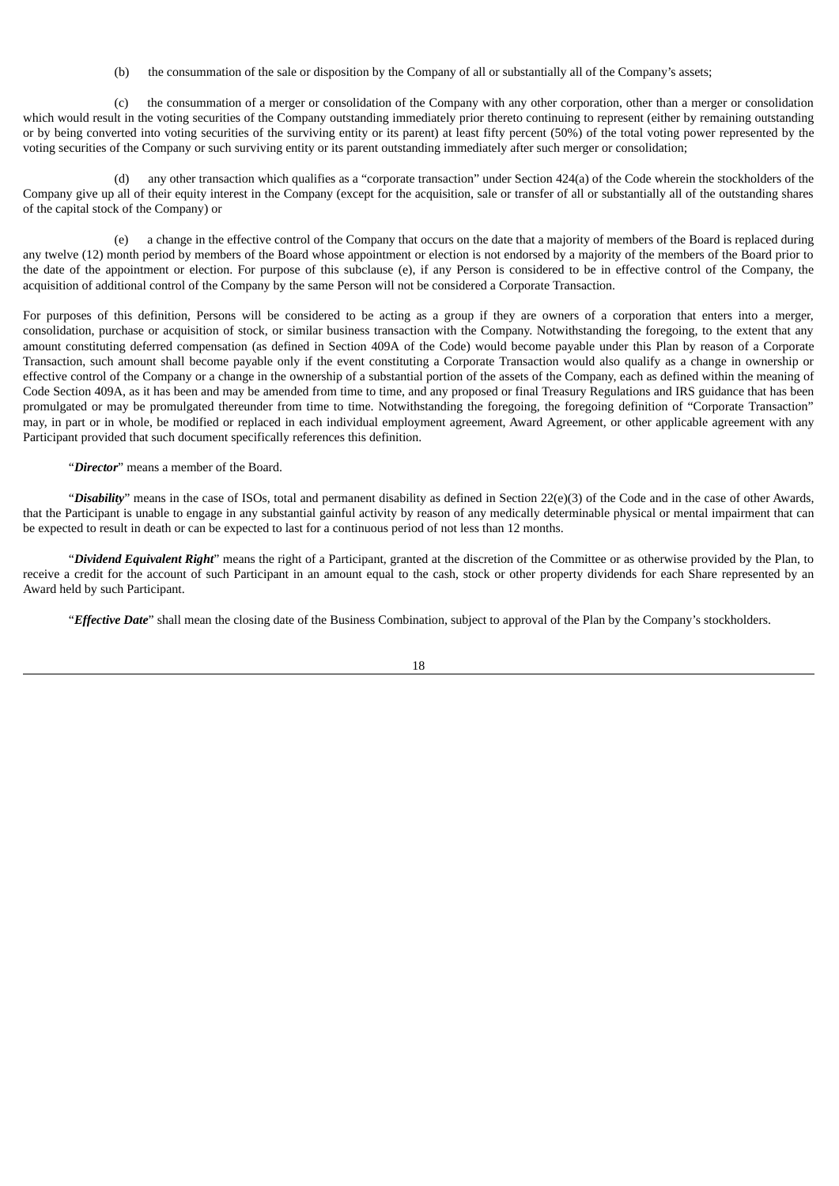(b) the consummation of the sale or disposition by the Company of all or substantially all of the Company's assets;

(c) the consummation of a merger or consolidation of the Company with any other corporation, other than a merger or consolidation which would result in the voting securities of the Company outstanding immediately prior thereto continuing to represent (either by remaining outstanding or by being converted into voting securities of the surviving entity or its parent) at least fifty percent (50%) of the total voting power represented by the voting securities of the Company or such surviving entity or its parent outstanding immediately after such merger or consolidation;

(d) any other transaction which qualifies as a "corporate transaction" under Section 424(a) of the Code wherein the stockholders of the Company give up all of their equity interest in the Company (except for the acquisition, sale or transfer of all or substantially all of the outstanding shares of the capital stock of the Company) or

(e) a change in the effective control of the Company that occurs on the date that a majority of members of the Board is replaced during any twelve (12) month period by members of the Board whose appointment or election is not endorsed by a majority of the members of the Board prior to the date of the appointment or election. For purpose of this subclause (e), if any Person is considered to be in effective control of the Company, the acquisition of additional control of the Company by the same Person will not be considered a Corporate Transaction.

For purposes of this definition, Persons will be considered to be acting as a group if they are owners of a corporation that enters into a merger, consolidation, purchase or acquisition of stock, or similar business transaction with the Company. Notwithstanding the foregoing, to the extent that any amount constituting deferred compensation (as defined in Section 409A of the Code) would become payable under this Plan by reason of a Corporate Transaction, such amount shall become payable only if the event constituting a Corporate Transaction would also qualify as a change in ownership or effective control of the Company or a change in the ownership of a substantial portion of the assets of the Company, each as defined within the meaning of Code Section 409A, as it has been and may be amended from time to time, and any proposed or final Treasury Regulations and IRS guidance that has been promulgated or may be promulgated thereunder from time to time. Notwithstanding the foregoing, the foregoing definition of "Corporate Transaction" may, in part or in whole, be modified or replaced in each individual employment agreement, Award Agreement, or other applicable agreement with any Participant provided that such document specifically references this definition.

"*Director*" means a member of the Board.

"*Disability*" means in the case of ISOs, total and permanent disability as defined in Section 22(e)(3) of the Code and in the case of other Awards, that the Participant is unable to engage in any substantial gainful activity by reason of any medically determinable physical or mental impairment that can be expected to result in death or can be expected to last for a continuous period of not less than 12 months.

"*Dividend Equivalent Right*" means the right of a Participant, granted at the discretion of the Committee or as otherwise provided by the Plan, to receive a credit for the account of such Participant in an amount equal to the cash, stock or other property dividends for each Share represented by an Award held by such Participant.

"*Effective Date*" shall mean the closing date of the Business Combination, subject to approval of the Plan by the Company's stockholders.

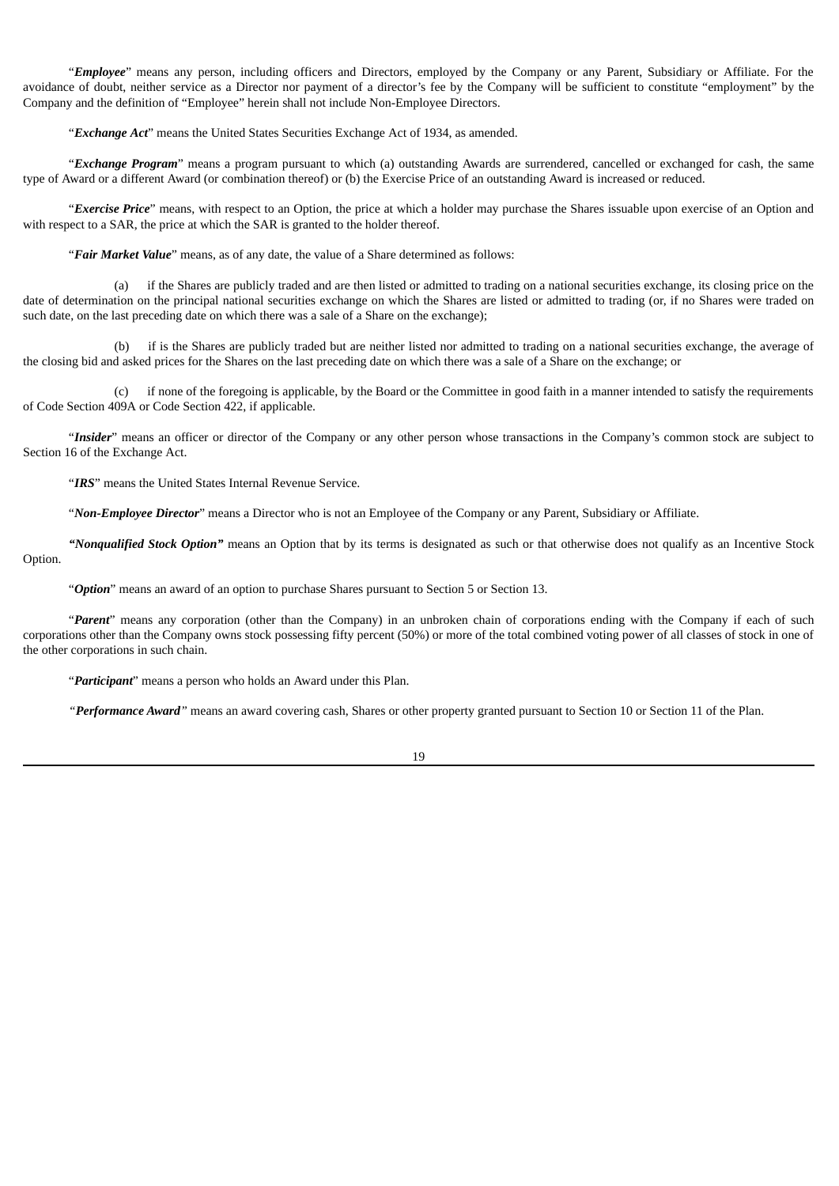"*Employee*" means any person, including officers and Directors, employed by the Company or any Parent, Subsidiary or Affiliate. For the avoidance of doubt, neither service as a Director nor payment of a director's fee by the Company will be sufficient to constitute "employment" by the Company and the definition of "Employee" herein shall not include Non-Employee Directors.

"*Exchange Act*" means the United States Securities Exchange Act of 1934, as amended.

"*Exchange Program*" means a program pursuant to which (a) outstanding Awards are surrendered, cancelled or exchanged for cash, the same type of Award or a different Award (or combination thereof) or (b) the Exercise Price of an outstanding Award is increased or reduced.

"*Exercise Price*" means, with respect to an Option, the price at which a holder may purchase the Shares issuable upon exercise of an Option and with respect to a SAR, the price at which the SAR is granted to the holder thereof.

"*Fair Market Value*" means, as of any date, the value of a Share determined as follows:

(a) if the Shares are publicly traded and are then listed or admitted to trading on a national securities exchange, its closing price on the date of determination on the principal national securities exchange on which the Shares are listed or admitted to trading (or, if no Shares were traded on such date, on the last preceding date on which there was a sale of a Share on the exchange);

(b) if is the Shares are publicly traded but are neither listed nor admitted to trading on a national securities exchange, the average of the closing bid and asked prices for the Shares on the last preceding date on which there was a sale of a Share on the exchange; or

(c) if none of the foregoing is applicable, by the Board or the Committee in good faith in a manner intended to satisfy the requirements of Code Section 409A or Code Section 422, if applicable.

"*Insider*" means an officer or director of the Company or any other person whose transactions in the Company's common stock are subject to Section 16 of the Exchange Act.

"*IRS*" means the United States Internal Revenue Service.

"*Non-Employee Director*" means a Director who is not an Employee of the Company or any Parent, Subsidiary or Affiliate.

*"Nonqualified Stock Option"* means an Option that by its terms is designated as such or that otherwise does not qualify as an Incentive Stock Option.

"*Option*" means an award of an option to purchase Shares pursuant to Section 5 or Section 13.

"*Parent*" means any corporation (other than the Company) in an unbroken chain of corporations ending with the Company if each of such corporations other than the Company owns stock possessing fifty percent (50%) or more of the total combined voting power of all classes of stock in one of the other corporations in such chain.

"*Participant*" means a person who holds an Award under this Plan.

*"Performance Award"* means an award covering cash, Shares or other property granted pursuant to Section 10 or Section 11 of the Plan.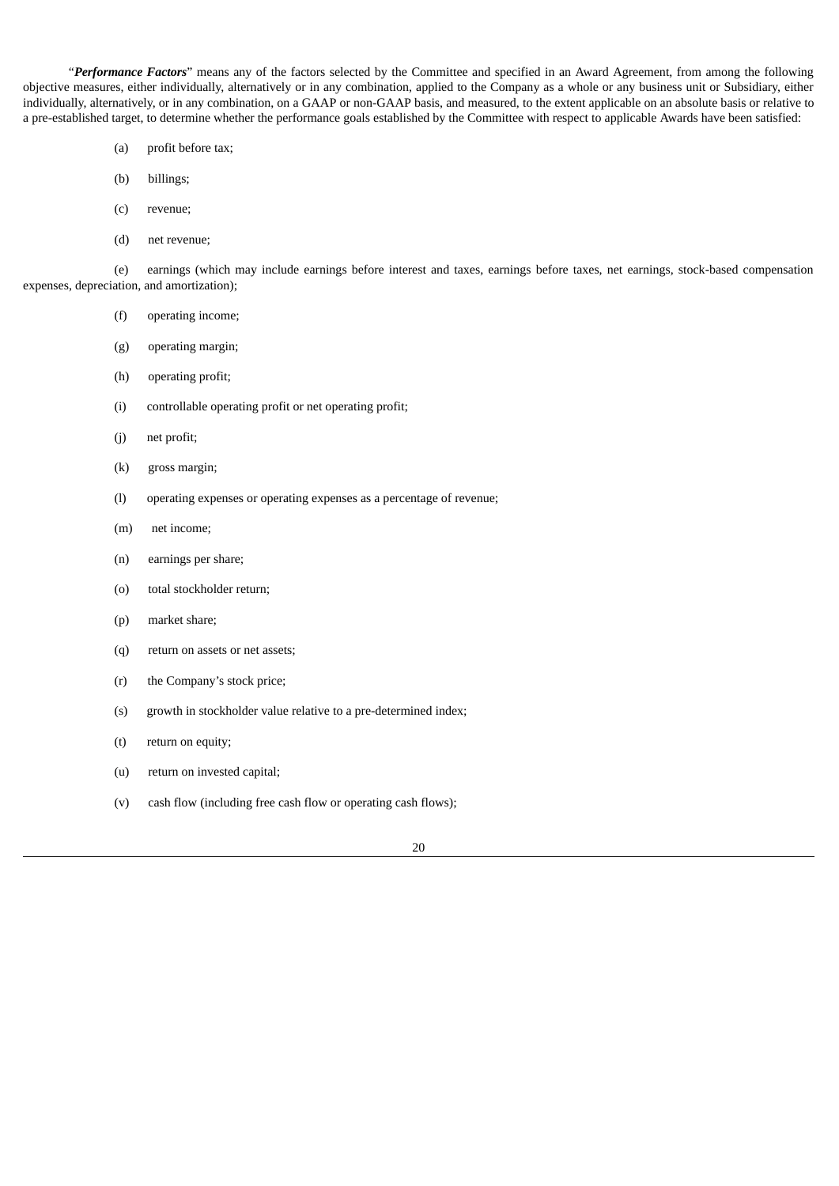"*Performance Factors*" means any of the factors selected by the Committee and specified in an Award Agreement, from among the following objective measures, either individually, alternatively or in any combination, applied to the Company as a whole or any business unit or Subsidiary, either individually, alternatively, or in any combination, on a GAAP or non-GAAP basis, and measured, to the extent applicable on an absolute basis or relative to a pre-established target, to determine whether the performance goals established by the Committee with respect to applicable Awards have been satisfied:

- (a) profit before tax;
- (b) billings;
- (c) revenue;
- (d) net revenue;

(e) earnings (which may include earnings before interest and taxes, earnings before taxes, net earnings, stock-based compensation expenses, depreciation, and amortization);

- (f) operating income;
- (g) operating margin;
- (h) operating profit;
- (i) controllable operating profit or net operating profit;
- (j) net profit;
- (k) gross margin;
- (l) operating expenses or operating expenses as a percentage of revenue;
- (m) net income;
- (n) earnings per share;
- (o) total stockholder return;
- (p) market share;
- (q) return on assets or net assets;
- (r) the Company's stock price;
- (s) growth in stockholder value relative to a pre-determined index;
- (t) return on equity;
- (u) return on invested capital;
- (v) cash flow (including free cash flow or operating cash flows);

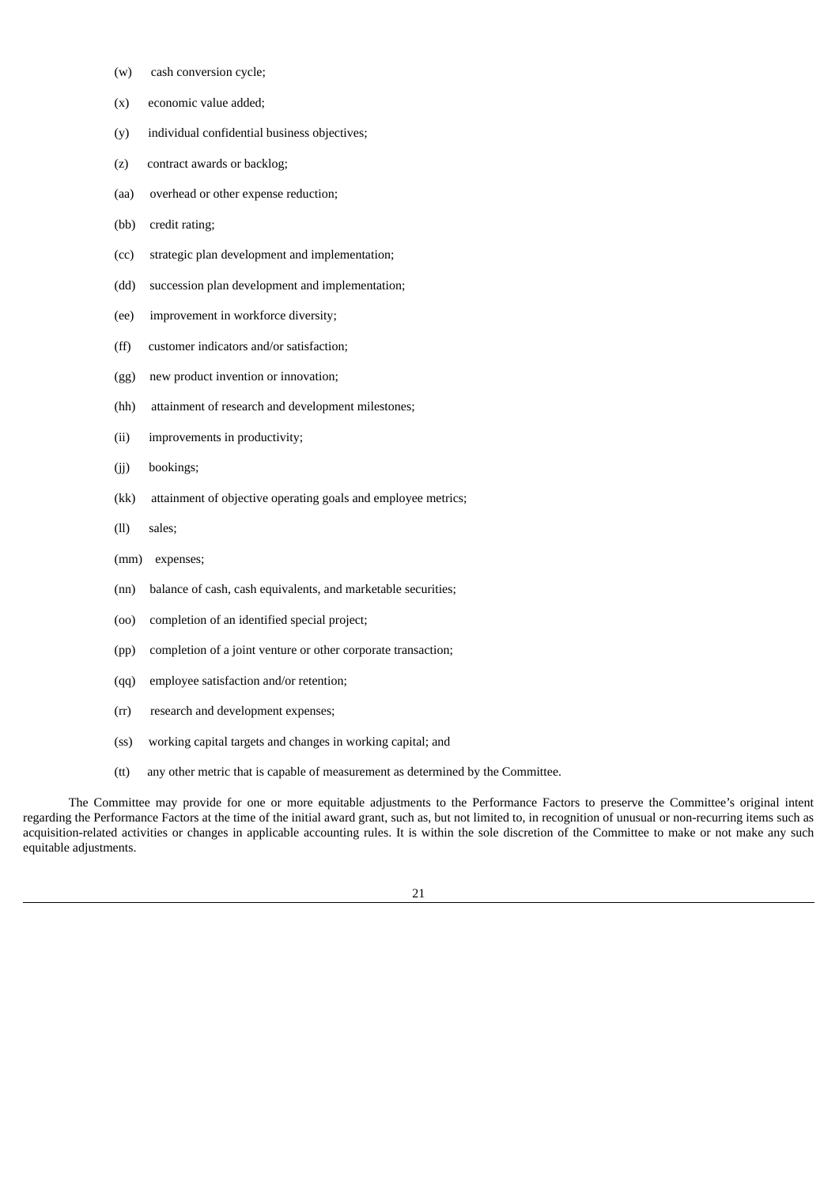- (w) cash conversion cycle;
- (x) economic value added;
- (y) individual confidential business objectives;
- (z) contract awards or backlog;
- (aa) overhead or other expense reduction;
- (bb) credit rating;
- (cc) strategic plan development and implementation;
- (dd) succession plan development and implementation;
- (ee) improvement in workforce diversity;
- (ff) customer indicators and/or satisfaction;
- (gg) new product invention or innovation;
- (hh) attainment of research and development milestones;
- (ii) improvements in productivity;
- (jj) bookings;
- (kk) attainment of objective operating goals and employee metrics;
- (ll) sales;
- (mm) expenses;
- (nn) balance of cash, cash equivalents, and marketable securities;
- (oo) completion of an identified special project;
- (pp) completion of a joint venture or other corporate transaction;
- (qq) employee satisfaction and/or retention;
- (rr) research and development expenses;
- (ss) working capital targets and changes in working capital; and
- (tt) any other metric that is capable of measurement as determined by the Committee.

The Committee may provide for one or more equitable adjustments to the Performance Factors to preserve the Committee's original intent regarding the Performance Factors at the time of the initial award grant, such as, but not limited to, in recognition of unusual or non-recurring items such as acquisition-related activities or changes in applicable accounting rules. It is within the sole discretion of the Committee to make or not make any such equitable adjustments.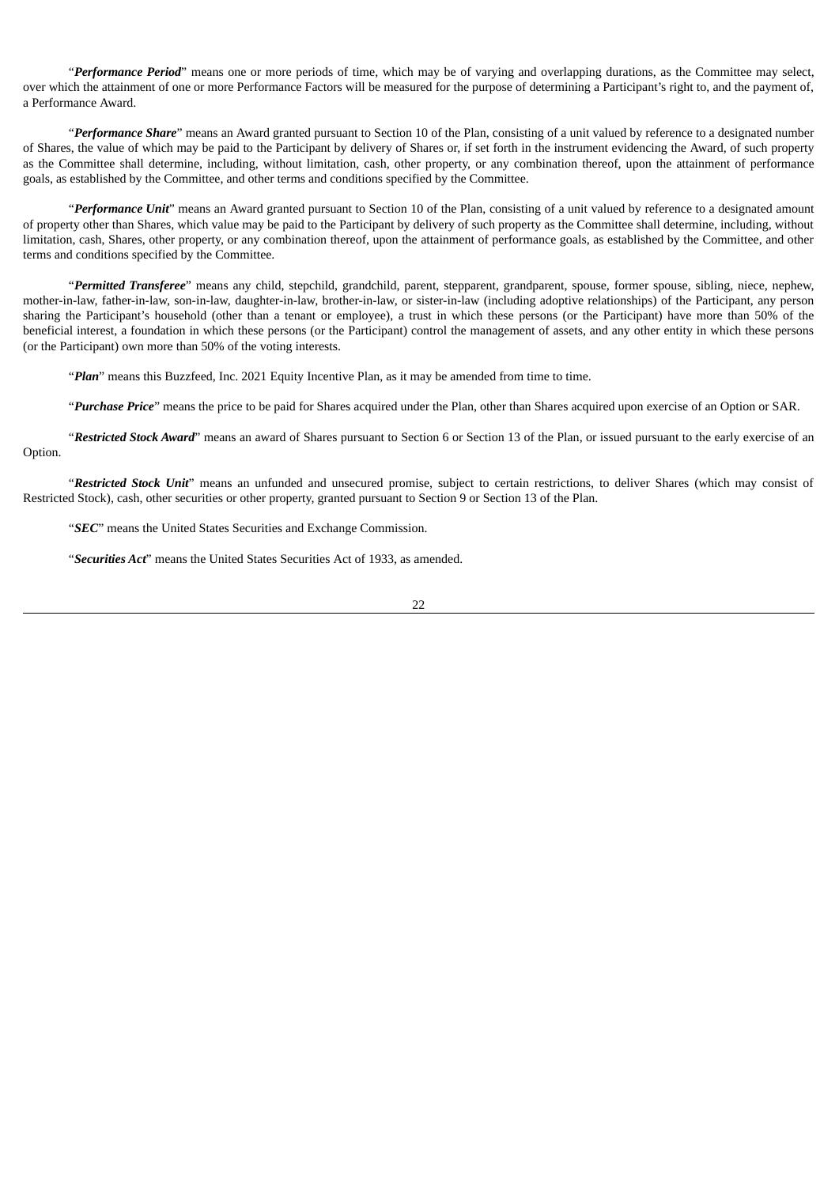"*Performance Period*" means one or more periods of time, which may be of varying and overlapping durations, as the Committee may select, over which the attainment of one or more Performance Factors will be measured for the purpose of determining a Participant's right to, and the payment of, a Performance Award.

"*Performance Share*" means an Award granted pursuant to Section 10 of the Plan, consisting of a unit valued by reference to a designated number of Shares, the value of which may be paid to the Participant by delivery of Shares or, if set forth in the instrument evidencing the Award, of such property as the Committee shall determine, including, without limitation, cash, other property, or any combination thereof, upon the attainment of performance goals, as established by the Committee, and other terms and conditions specified by the Committee.

"*Performance Unit*" means an Award granted pursuant to Section 10 of the Plan, consisting of a unit valued by reference to a designated amount of property other than Shares, which value may be paid to the Participant by delivery of such property as the Committee shall determine, including, without limitation, cash, Shares, other property, or any combination thereof, upon the attainment of performance goals, as established by the Committee, and other terms and conditions specified by the Committee.

"*Permitted Transferee*" means any child, stepchild, grandchild, parent, stepparent, grandparent, spouse, former spouse, sibling, niece, nephew, mother-in-law, father-in-law, son-in-law, daughter-in-law, brother-in-law, or sister-in-law (including adoptive relationships) of the Participant, any person sharing the Participant's household (other than a tenant or employee), a trust in which these persons (or the Participant) have more than 50% of the beneficial interest, a foundation in which these persons (or the Participant) control the management of assets, and any other entity in which these persons (or the Participant) own more than 50% of the voting interests.

"*Plan*" means this Buzzfeed, Inc. 2021 Equity Incentive Plan, as it may be amended from time to time.

"*Purchase Price*" means the price to be paid for Shares acquired under the Plan, other than Shares acquired upon exercise of an Option or SAR.

"*Restricted Stock Award*" means an award of Shares pursuant to Section 6 or Section 13 of the Plan, or issued pursuant to the early exercise of an Option.

"*Restricted Stock Unit*" means an unfunded and unsecured promise, subject to certain restrictions, to deliver Shares (which may consist of Restricted Stock), cash, other securities or other property, granted pursuant to Section 9 or Section 13 of the Plan.

"*SEC*" means the United States Securities and Exchange Commission.

"*Securities Act*" means the United States Securities Act of 1933, as amended.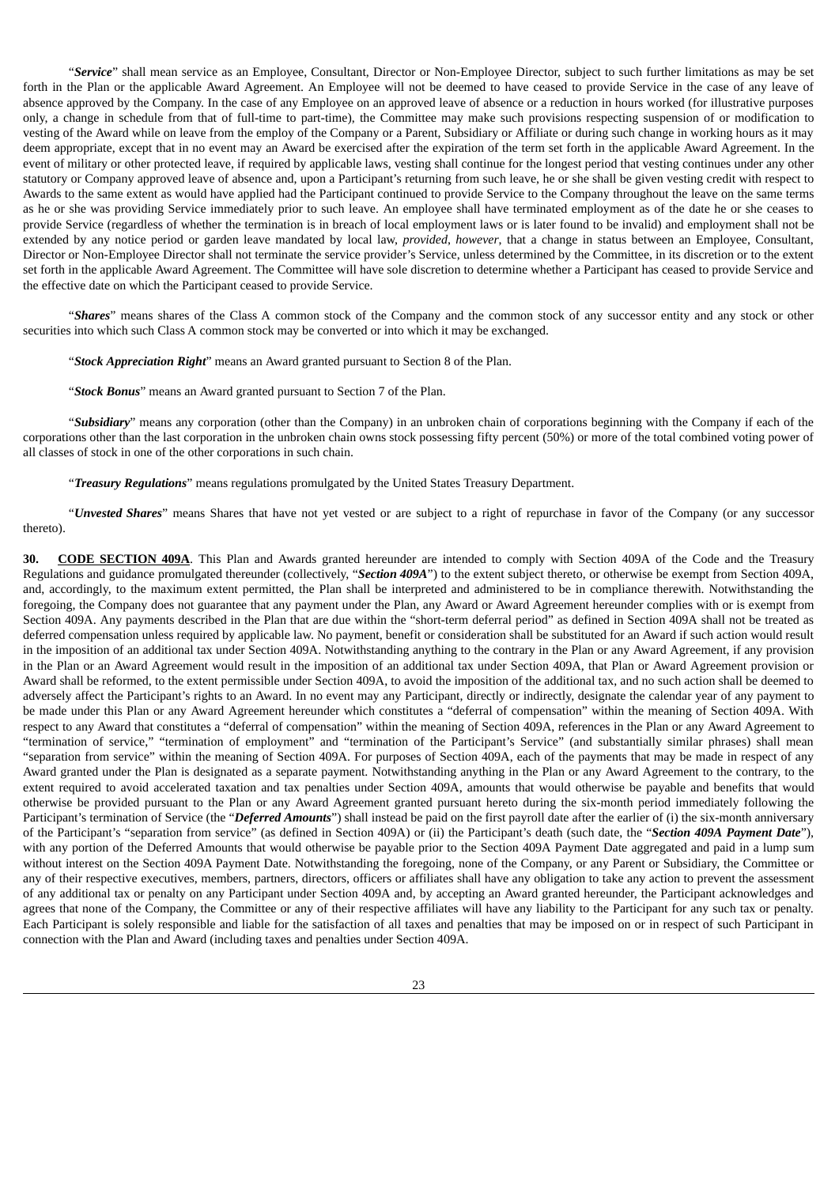"*Service*" shall mean service as an Employee, Consultant, Director or Non-Employee Director, subject to such further limitations as may be set forth in the Plan or the applicable Award Agreement. An Employee will not be deemed to have ceased to provide Service in the case of any leave of absence approved by the Company. In the case of any Employee on an approved leave of absence or a reduction in hours worked (for illustrative purposes only, a change in schedule from that of full-time to part-time), the Committee may make such provisions respecting suspension of or modification to vesting of the Award while on leave from the employ of the Company or a Parent, Subsidiary or Affiliate or during such change in working hours as it may deem appropriate, except that in no event may an Award be exercised after the expiration of the term set forth in the applicable Award Agreement. In the event of military or other protected leave, if required by applicable laws, vesting shall continue for the longest period that vesting continues under any other statutory or Company approved leave of absence and, upon a Participant's returning from such leave, he or she shall be given vesting credit with respect to Awards to the same extent as would have applied had the Participant continued to provide Service to the Company throughout the leave on the same terms as he or she was providing Service immediately prior to such leave. An employee shall have terminated employment as of the date he or she ceases to provide Service (regardless of whether the termination is in breach of local employment laws or is later found to be invalid) and employment shall not be extended by any notice period or garden leave mandated by local law, *provided*, *however*, that a change in status between an Employee, Consultant, Director or Non-Employee Director shall not terminate the service provider's Service, unless determined by the Committee, in its discretion or to the extent set forth in the applicable Award Agreement. The Committee will have sole discretion to determine whether a Participant has ceased to provide Service and the effective date on which the Participant ceased to provide Service.

"*Shares*" means shares of the Class A common stock of the Company and the common stock of any successor entity and any stock or other securities into which such Class A common stock may be converted or into which it may be exchanged.

"*Stock Appreciation Right*" means an Award granted pursuant to Section 8 of the Plan.

"*Stock Bonus*" means an Award granted pursuant to Section 7 of the Plan.

"*Subsidiary*" means any corporation (other than the Company) in an unbroken chain of corporations beginning with the Company if each of the corporations other than the last corporation in the unbroken chain owns stock possessing fifty percent (50%) or more of the total combined voting power of all classes of stock in one of the other corporations in such chain.

"*Treasury Regulations*" means regulations promulgated by the United States Treasury Department.

"*Unvested Shares*" means Shares that have not yet vested or are subject to a right of repurchase in favor of the Company (or any successor thereto).

**30. CODE SECTION 409A**. This Plan and Awards granted hereunder are intended to comply with Section 409A of the Code and the Treasury Regulations and guidance promulgated thereunder (collectively, "*Section 409A*") to the extent subject thereto, or otherwise be exempt from Section 409A, and, accordingly, to the maximum extent permitted, the Plan shall be interpreted and administered to be in compliance therewith. Notwithstanding the foregoing, the Company does not guarantee that any payment under the Plan, any Award or Award Agreement hereunder complies with or is exempt from Section 409A. Any payments described in the Plan that are due within the "short-term deferral period" as defined in Section 409A shall not be treated as deferred compensation unless required by applicable law. No payment, benefit or consideration shall be substituted for an Award if such action would result in the imposition of an additional tax under Section 409A. Notwithstanding anything to the contrary in the Plan or any Award Agreement, if any provision in the Plan or an Award Agreement would result in the imposition of an additional tax under Section 409A, that Plan or Award Agreement provision or Award shall be reformed, to the extent permissible under Section 409A, to avoid the imposition of the additional tax, and no such action shall be deemed to adversely affect the Participant's rights to an Award. In no event may any Participant, directly or indirectly, designate the calendar year of any payment to be made under this Plan or any Award Agreement hereunder which constitutes a "deferral of compensation" within the meaning of Section 409A. With respect to any Award that constitutes a "deferral of compensation" within the meaning of Section 409A, references in the Plan or any Award Agreement to "termination of service," "termination of employment" and "termination of the Participant's Service" (and substantially similar phrases) shall mean "separation from service" within the meaning of Section 409A. For purposes of Section 409A, each of the payments that may be made in respect of any Award granted under the Plan is designated as a separate payment. Notwithstanding anything in the Plan or any Award Agreement to the contrary, to the extent required to avoid accelerated taxation and tax penalties under Section 409A, amounts that would otherwise be payable and benefits that would otherwise be provided pursuant to the Plan or any Award Agreement granted pursuant hereto during the six-month period immediately following the Participant's termination of Service (the "*Deferred Amounts*") shall instead be paid on the first payroll date after the earlier of (i) the six-month anniversary of the Participant's "separation from service" (as defined in Section 409A) or (ii) the Participant's death (such date, the "*Section 409A Payment Date*"), with any portion of the Deferred Amounts that would otherwise be payable prior to the Section 409A Payment Date aggregated and paid in a lump sum without interest on the Section 409A Payment Date. Notwithstanding the foregoing, none of the Company, or any Parent or Subsidiary, the Committee or any of their respective executives, members, partners, directors, officers or affiliates shall have any obligation to take any action to prevent the assessment of any additional tax or penalty on any Participant under Section 409A and, by accepting an Award granted hereunder, the Participant acknowledges and agrees that none of the Company, the Committee or any of their respective affiliates will have any liability to the Participant for any such tax or penalty. Each Participant is solely responsible and liable for the satisfaction of all taxes and penalties that may be imposed on or in respect of such Participant in connection with the Plan and Award (including taxes and penalties under Section 409A.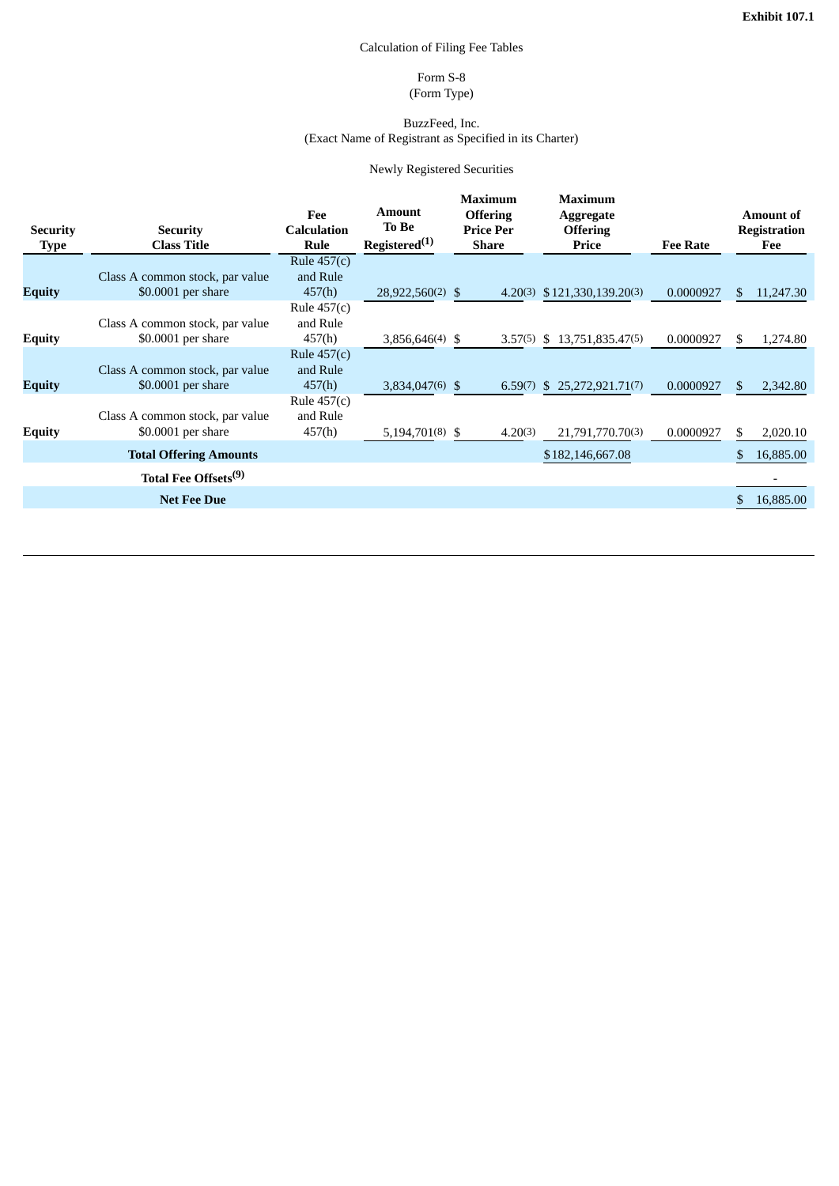## Calculation of Filing Fee Tables

### Form S-8 (Form Type)

#### BuzzFeed, Inc. (Exact Name of Registrant as Specified in its Charter)

### Newly Registered Securities

<span id="page-33-0"></span>

| <b>Security</b><br><b>Type</b> | <b>Security</b><br><b>Class Title</b>                 | Fee<br><b>Calculation</b><br>Rule   | Amount<br>To Be<br>Registered <sup>(1)</sup> | <b>Maximum</b><br><b>Offering</b><br><b>Price Per</b><br>Share | <b>Maximum</b><br><b>Aggregate</b><br><b>Offering</b><br>Price | <b>Fee Rate</b> |     | <b>Amount of</b><br><b>Registration</b><br>Fee |
|--------------------------------|-------------------------------------------------------|-------------------------------------|----------------------------------------------|----------------------------------------------------------------|----------------------------------------------------------------|-----------------|-----|------------------------------------------------|
|                                |                                                       | Rule $457(c)$                       |                                              |                                                                |                                                                |                 |     |                                                |
| <b>Equity</b>                  | Class A common stock, par value<br>\$0.0001 per share | and Rule<br>457(h)                  | 28,922,560(2) \$                             |                                                                | $4.20(3)$ \$121,330,139.20(3)                                  | 0.0000927       | \$. | 11,247.30                                      |
| <b>Equity</b>                  | Class A common stock, par value<br>\$0.0001 per share | Rule $457(c)$<br>and Rule<br>457(h) | $3,856,646(4)$ \$                            |                                                                | $3.57(5)$ \$ 13,751,835.47(5)                                  | 0.0000927       | \$  | 1,274.80                                       |
| <b>Equity</b>                  | Class A common stock, par value<br>\$0.0001 per share | Rule $457(c)$<br>and Rule<br>457(h) | $3,834,047(6)$ \$                            | 6.59(7)                                                        | \$25,272,921,71(7)                                             | 0.0000927       | \$. | 2,342.80                                       |
| <b>Equity</b>                  | Class A common stock, par value<br>\$0.0001 per share | Rule 457(c)<br>and Rule<br>457(h)   | $5,194,701(8)$ \$                            | 4.20(3)                                                        | 21,791,770.70(3)                                               | 0.0000927       | \$  | 2,020.10                                       |
|                                | <b>Total Offering Amounts</b>                         |                                     |                                              |                                                                | \$182,146,667.08                                               |                 | \$. | 16,885.00                                      |
|                                | Total Fee Offsets <sup>(9)</sup>                      |                                     |                                              |                                                                |                                                                |                 |     |                                                |
|                                | <b>Net Fee Due</b>                                    |                                     |                                              |                                                                |                                                                |                 |     | 16,885.00                                      |